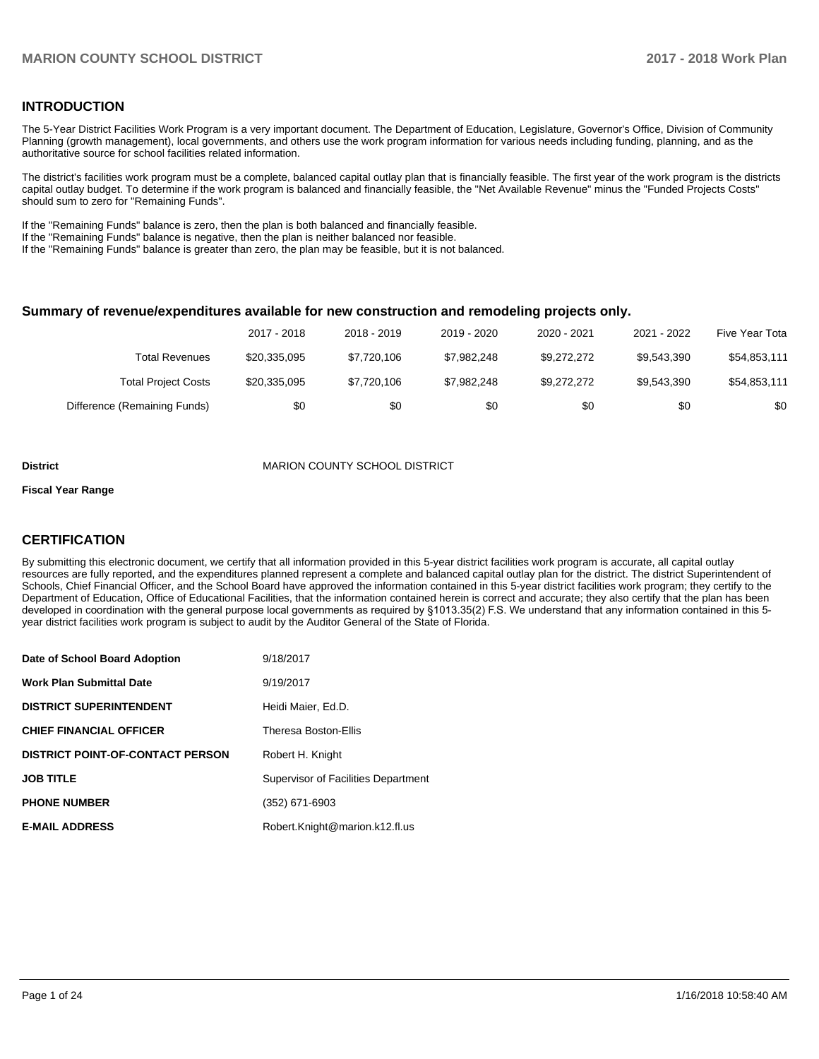### **INTRODUCTION**

The 5-Year District Facilities Work Program is a very important document. The Department of Education, Legislature, Governor's Office, Division of Community Planning (growth management), local governments, and others use the work program information for various needs including funding, planning, and as the authoritative source for school facilities related information.

The district's facilities work program must be a complete, balanced capital outlay plan that is financially feasible. The first year of the work program is the districts capital outlay budget. To determine if the work program is balanced and financially feasible, the "Net Available Revenue" minus the "Funded Projects Costs" should sum to zero for "Remaining Funds".

If the "Remaining Funds" balance is zero, then the plan is both balanced and financially feasible.

If the "Remaining Funds" balance is negative, then the plan is neither balanced nor feasible.

If the "Remaining Funds" balance is greater than zero, the plan may be feasible, but it is not balanced.

#### **Summary of revenue/expenditures available for new construction and remodeling projects only.**

|                              | 2017 - 2018  | 2018 - 2019 | 2019 - 2020 | 2020 - 2021 | 2021 - 2022 | Five Year Tota |
|------------------------------|--------------|-------------|-------------|-------------|-------------|----------------|
| Total Revenues               | \$20,335,095 | \$7,720,106 | \$7.982.248 | \$9.272.272 | \$9.543.390 | \$54,853,111   |
| <b>Total Project Costs</b>   | \$20,335,095 | \$7,720,106 | \$7.982.248 | \$9.272.272 | \$9.543.390 | \$54,853,111   |
| Difference (Remaining Funds) | \$0          | \$0         | \$0         | \$0         | \$0         | \$0            |

#### **District MARION COUNTY SCHOOL DISTRICT**

#### **Fiscal Year Range**

## **CERTIFICATION**

By submitting this electronic document, we certify that all information provided in this 5-year district facilities work program is accurate, all capital outlay resources are fully reported, and the expenditures planned represent a complete and balanced capital outlay plan for the district. The district Superintendent of Schools, Chief Financial Officer, and the School Board have approved the information contained in this 5-year district facilities work program; they certify to the Department of Education, Office of Educational Facilities, that the information contained herein is correct and accurate; they also certify that the plan has been developed in coordination with the general purpose local governments as required by §1013.35(2) F.S. We understand that any information contained in this 5year district facilities work program is subject to audit by the Auditor General of the State of Florida.

| Date of School Board Adoption           | 9/18/2017                           |
|-----------------------------------------|-------------------------------------|
| <b>Work Plan Submittal Date</b>         | 9/19/2017                           |
| <b>DISTRICT SUPERINTENDENT</b>          | Heidi Maier, Ed.D.                  |
| <b>CHIEF FINANCIAL OFFICER</b>          | Theresa Boston-Ellis                |
| <b>DISTRICT POINT-OF-CONTACT PERSON</b> | Robert H. Knight                    |
| <b>JOB TITLE</b>                        | Supervisor of Facilities Department |
| <b>PHONE NUMBER</b>                     | (352) 671-6903                      |
| <b>E-MAIL ADDRESS</b>                   | Robert.Knight@marion.k12.fl.us      |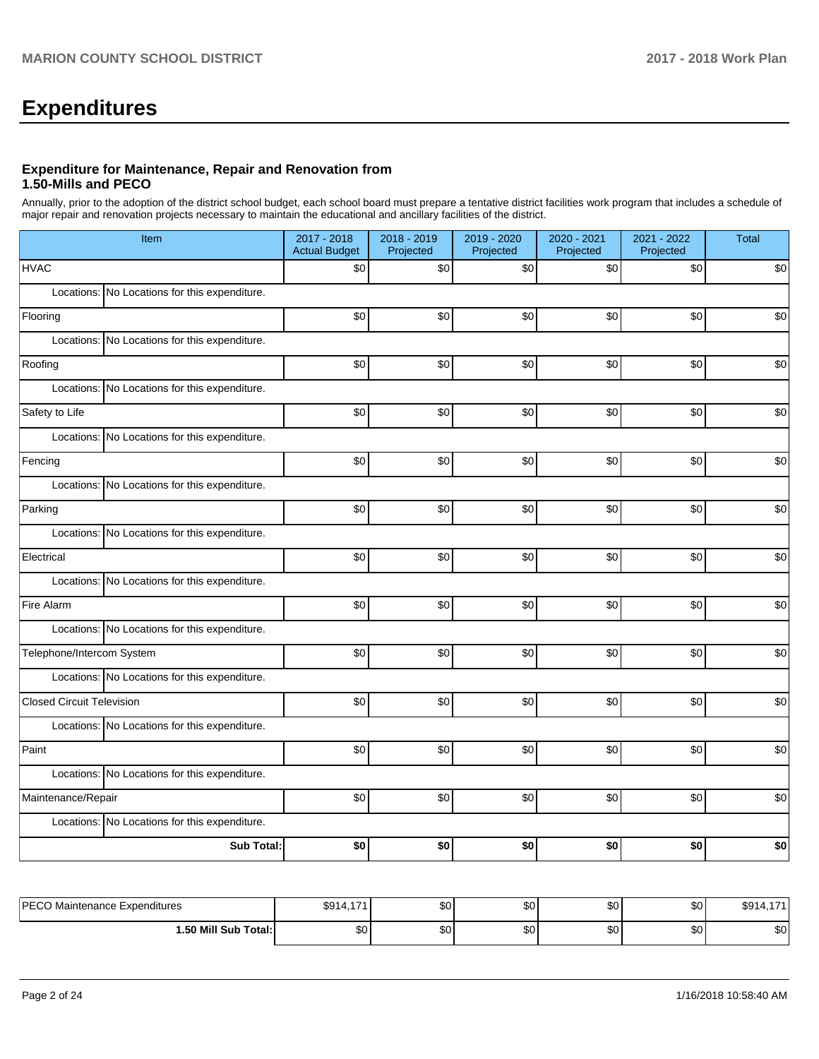# **Expenditures**

## **Expenditure for Maintenance, Repair and Renovation from 1.50-Mills and PECO**

Annually, prior to the adoption of the district school budget, each school board must prepare a tentative district facilities work program that includes a schedule of major repair and renovation projects necessary to maintain the educational and ancillary facilities of the district.

| Item                                          | 2017 - 2018<br><b>Actual Budget</b> | 2018 - 2019<br>Projected | 2019 - 2020<br>Projected | 2020 - 2021<br>Projected | 2021 - 2022<br>Projected | <b>Total</b> |
|-----------------------------------------------|-------------------------------------|--------------------------|--------------------------|--------------------------|--------------------------|--------------|
| <b>HVAC</b>                                   | \$0                                 | \$0                      | \$0                      | \$0                      | \$0                      | \$0          |
| Locations: No Locations for this expenditure. |                                     |                          |                          |                          |                          |              |
| Flooring                                      | \$0                                 | \$0                      | \$0                      | \$0                      | \$0                      | \$0          |
| Locations: No Locations for this expenditure. |                                     |                          |                          |                          |                          |              |
| Roofing                                       | \$0                                 | \$0                      | \$0                      | \$0                      | \$0                      | \$0          |
| Locations: No Locations for this expenditure. |                                     |                          |                          |                          |                          |              |
| Safety to Life                                | \$0                                 | \$0                      | \$0                      | \$0                      | \$0                      | \$0          |
| Locations: No Locations for this expenditure. |                                     |                          |                          |                          |                          |              |
| Fencing                                       | \$0                                 | \$0                      | \$0                      | \$0                      | \$0                      | \$0          |
| Locations: No Locations for this expenditure. |                                     |                          |                          |                          |                          |              |
| Parking                                       | \$0                                 | \$0                      | \$0                      | \$0                      | \$0                      | \$0          |
| Locations: No Locations for this expenditure. |                                     |                          |                          |                          |                          |              |
| Electrical                                    | \$0                                 | \$0                      | \$0                      | \$0                      | \$0                      | \$0          |
| Locations: No Locations for this expenditure. |                                     |                          |                          |                          |                          |              |
| Fire Alarm                                    | \$0                                 | \$0                      | \$0                      | \$0                      | \$0                      | \$0          |
| Locations: No Locations for this expenditure. |                                     |                          |                          |                          |                          |              |
| Telephone/Intercom System                     | \$0                                 | \$0                      | \$0                      | \$0                      | \$0                      | \$0          |
| Locations: No Locations for this expenditure. |                                     |                          |                          |                          |                          |              |
| <b>Closed Circuit Television</b>              | \$0                                 | \$0                      | \$0                      | \$0                      | \$0                      | \$0          |
| Locations: No Locations for this expenditure. |                                     |                          |                          |                          |                          |              |
| Paint                                         | \$0                                 | \$0                      | \$0                      | \$0                      | \$0                      | \$0          |
| Locations: No Locations for this expenditure. |                                     |                          |                          |                          |                          |              |
| Maintenance/Repair                            | \$0                                 | \$0                      | \$0                      | \$0                      | \$0                      | \$0          |
| Locations: No Locations for this expenditure. |                                     |                          |                          |                          |                          |              |
| Sub Total:                                    | \$0                                 | \$0                      | \$0                      | \$0                      | \$0                      | \$0          |
|                                               |                                     |                          |                          |                          |                          |              |

| IPFCO<br>Maintenance Expenditures<br>└─ | 474<br>$\sim$<br>৯৬৭<br>−. . | ሶስ<br>ּי שפ | $\sim$<br>w | $\sim$<br>υU | ΦO<br>ູບບ | $\rightarrow$<br>mo.<br>שם |
|-----------------------------------------|------------------------------|-------------|-------------|--------------|-----------|----------------------------|
| 1.50 Mill Sub Total:                    | ሶሳ                           | ሶስ          | $\sim$      | $\sim$       | $\sim$    | ሶስ                         |
|                                         | Ψ                            | י שפ        | υU          | ΦU           | ູບບ       | JU.                        |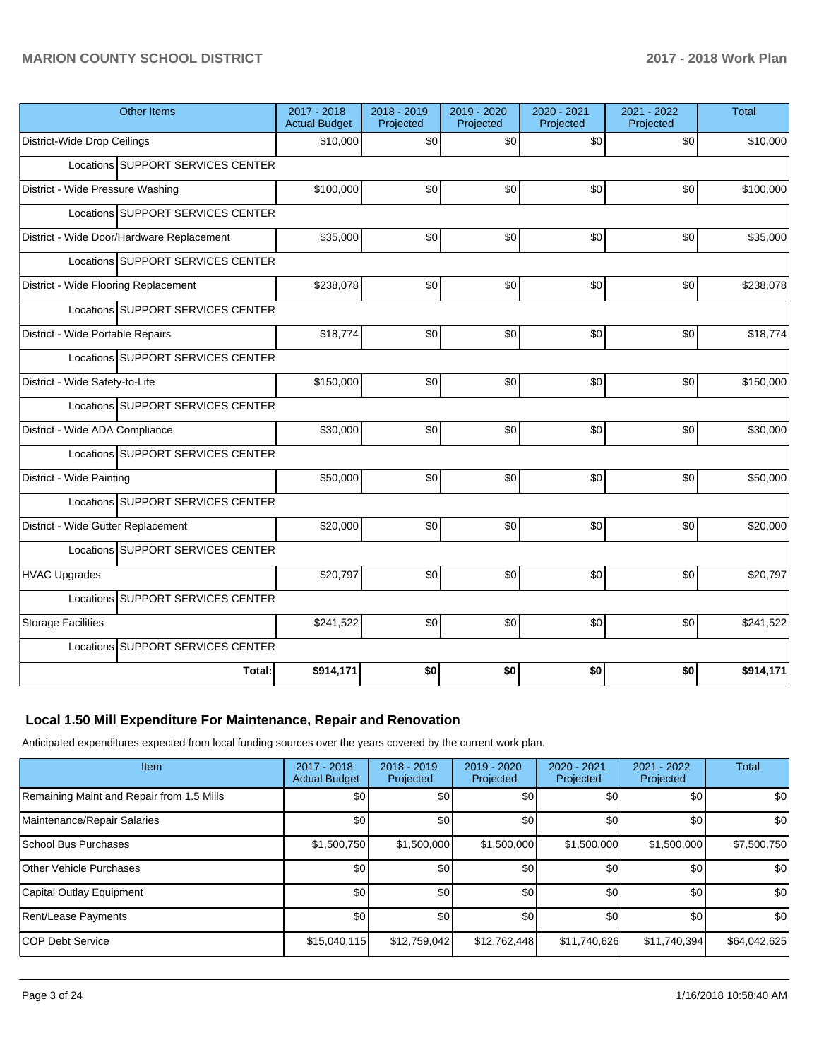| <b>Other Items</b>                        | 2017 - 2018<br><b>Actual Budget</b> | 2018 - 2019<br>Projected | 2019 - 2020<br>Projected | 2020 - 2021<br>Projected | 2021 - 2022<br>Projected | <b>Total</b> |
|-------------------------------------------|-------------------------------------|--------------------------|--------------------------|--------------------------|--------------------------|--------------|
| District-Wide Drop Ceilings               | \$10,000                            | \$0                      | \$0                      | \$0                      | \$0                      | \$10,000     |
| Locations SUPPORT SERVICES CENTER         |                                     |                          |                          |                          |                          |              |
| District - Wide Pressure Washing          | \$100,000                           | \$0                      | \$0                      | \$0                      | \$0                      | \$100,000    |
| Locations SUPPORT SERVICES CENTER         |                                     |                          |                          |                          |                          |              |
| District - Wide Door/Hardware Replacement | \$35,000                            | \$0                      | \$0                      | \$0                      | \$0                      | \$35,000     |
| Locations SUPPORT SERVICES CENTER         |                                     |                          |                          |                          |                          |              |
| District - Wide Flooring Replacement      | \$238,078                           | \$0                      | \$0                      | \$0                      | \$0                      | \$238,078    |
| Locations SUPPORT SERVICES CENTER         |                                     |                          |                          |                          |                          |              |
| District - Wide Portable Repairs          | \$18,774                            | \$0                      | \$0                      | \$0                      | \$0                      | \$18,774     |
| Locations SUPPORT SERVICES CENTER         |                                     |                          |                          |                          |                          |              |
| District - Wide Safety-to-Life            | \$150,000                           | \$0                      | \$0                      | \$0                      | \$0                      | \$150,000    |
| Locations SUPPORT SERVICES CENTER         |                                     |                          |                          |                          |                          |              |
| District - Wide ADA Compliance            | \$30,000                            | \$0                      | \$0                      | \$0                      | \$0                      | \$30,000     |
| Locations SUPPORT SERVICES CENTER         |                                     |                          |                          |                          |                          |              |
| District - Wide Painting                  | \$50,000                            | \$0                      | \$0                      | \$0                      | \$0                      | \$50,000     |
| Locations SUPPORT SERVICES CENTER         |                                     |                          |                          |                          |                          |              |
| District - Wide Gutter Replacement        | \$20,000                            | \$0                      | \$0                      | \$0                      | \$0                      | \$20,000     |
| Locations SUPPORT SERVICES CENTER         |                                     |                          |                          |                          |                          |              |
| <b>HVAC Upgrades</b>                      | \$20,797                            | \$0                      | \$0                      | \$0                      | \$0                      | \$20,797     |
| Locations SUPPORT SERVICES CENTER         |                                     |                          |                          |                          |                          |              |
| <b>Storage Facilities</b>                 | \$241,522                           | \$0                      | \$0                      | \$0                      | \$0                      | \$241,522    |
| Locations SUPPORT SERVICES CENTER         |                                     |                          |                          |                          |                          |              |
| Total:                                    | \$914,171                           | \$0                      | \$0                      | \$0                      | \$0                      | \$914,171    |

# **Local 1.50 Mill Expenditure For Maintenance, Repair and Renovation**

Anticipated expenditures expected from local funding sources over the years covered by the current work plan.

| Item                                      | $2017 - 2018$<br><b>Actual Budget</b> | $2018 - 2019$<br>Projected | 2019 - 2020<br>Projected | 2020 - 2021<br>Projected | 2021 - 2022<br>Projected | <b>Total</b> |
|-------------------------------------------|---------------------------------------|----------------------------|--------------------------|--------------------------|--------------------------|--------------|
| Remaining Maint and Repair from 1.5 Mills | \$0                                   | \$0                        | \$0                      | \$0                      | \$0                      | \$0          |
| Maintenance/Repair Salaries               | \$0                                   | \$0                        | \$0                      | \$0                      | \$0                      | \$0          |
| School Bus Purchases                      | \$1,500,750                           | \$1,500,000                | \$1,500,000              | \$1,500,000              | \$1,500,000              | \$7,500,750  |
| <b>Other Vehicle Purchases</b>            | \$0                                   | \$0                        | \$0                      | \$0                      | \$0                      | \$0          |
| Capital Outlay Equipment                  | <b>\$0</b>                            | \$0                        | \$0                      | \$0                      | \$0                      | \$0          |
| Rent/Lease Payments                       | \$0                                   | \$0                        | \$0                      | \$0                      | \$0                      | \$0          |
| <b>COP Debt Service</b>                   | \$15,040,115                          | \$12,759,042               | \$12,762,448             | \$11,740,626             | \$11,740,394             | \$64,042,625 |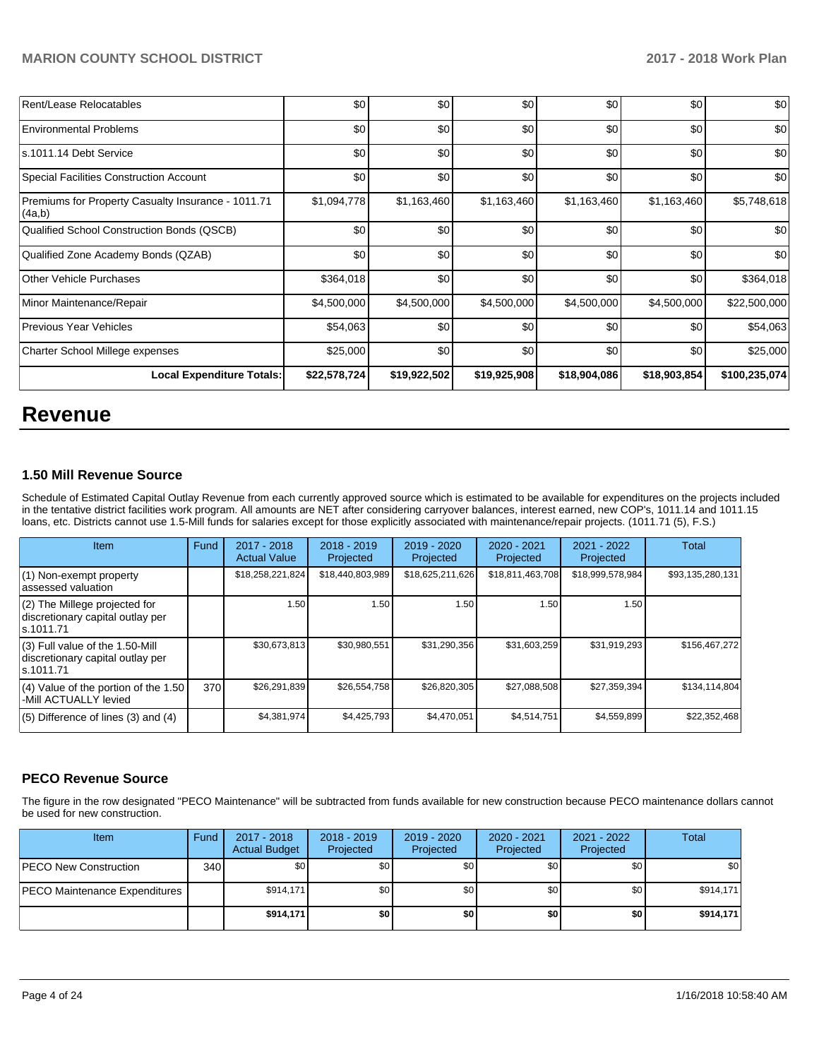| Rent/Lease Relocatables                                      | \$0          | \$0          | \$0          | \$0          | \$0          | \$0           |
|--------------------------------------------------------------|--------------|--------------|--------------|--------------|--------------|---------------|
| <b>Environmental Problems</b>                                | \$0          | \$0          | \$0          | \$0          | \$0          | \$0           |
| s.1011.14 Debt Service                                       | \$0          | \$0          | \$0          | \$0          | \$0          | \$0           |
| Special Facilities Construction Account                      | \$0          | \$0          | \$0          | \$0          | \$0          | \$0           |
| Premiums for Property Casualty Insurance - 1011.71<br>(4a,b) | \$1,094,778  | \$1,163,460  | \$1,163,460  | \$1,163,460  | \$1,163,460  | \$5,748,618   |
| Qualified School Construction Bonds (QSCB)                   | \$0          | \$0          | \$0          | \$0          | \$0          | \$0           |
| Qualified Zone Academy Bonds (QZAB)                          | \$0          | \$0          | \$0          | \$0          | \$0          | \$0           |
| <b>Other Vehicle Purchases</b>                               | \$364,018    | \$0          | \$0          | \$0          | \$0          | \$364,018     |
| Minor Maintenance/Repair                                     | \$4,500,000  | \$4,500,000  | \$4,500,000  | \$4,500,000  | \$4,500,000  | \$22,500,000  |
| <b>Previous Year Vehicles</b>                                | \$54,063     | \$0          | \$0          | \$0          | \$0          | \$54,063      |
| Charter School Millege expenses                              | \$25,000     | \$0          | \$0          | \$0          | \$0          | \$25,000      |
| <b>Local Expenditure Totals:</b>                             | \$22,578,724 | \$19,922,502 | \$19,925,908 | \$18,904,086 | \$18,903,854 | \$100,235,074 |

# **Revenue**

# **1.50 Mill Revenue Source**

Schedule of Estimated Capital Outlay Revenue from each currently approved source which is estimated to be available for expenditures on the projects included in the tentative district facilities work program. All amounts are NET after considering carryover balances, interest earned, new COP's, 1011.14 and 1011.15 loans, etc. Districts cannot use 1.5-Mill funds for salaries except for those explicitly associated with maintenance/repair projects. (1011.71 (5), F.S.)

| <b>Item</b>                                                                         | Fund | $2017 - 2018$<br><b>Actual Value</b> | $2018 - 2019$<br>Projected | $2019 - 2020$<br>Projected | $2020 - 2021$<br>Projected | 2021 - 2022<br>Projected | Total            |
|-------------------------------------------------------------------------------------|------|--------------------------------------|----------------------------|----------------------------|----------------------------|--------------------------|------------------|
| (1) Non-exempt property<br>lassessed valuation                                      |      | \$18,258,221,824                     | \$18,440,803,989           | \$18,625,211,626           | \$18,811,463,708           | \$18,999,578,984         | \$93,135,280,131 |
| $(2)$ The Millege projected for<br>discretionary capital outlay per<br>ls.1011.71   |      | 1.50                                 | 1.50                       | 1.50                       | 1.50                       | 1.50                     |                  |
| $(3)$ Full value of the 1.50-Mill<br>discretionary capital outlay per<br>ls.1011.71 |      | \$30,673,813                         | \$30,980,551               | \$31,290,356               | \$31,603,259               | \$31,919,293             | \$156,467,272    |
| $(4)$ Value of the portion of the 1.50<br>-Mill ACTUALLY levied                     | 370  | \$26,291,839                         | \$26,554,758               | \$26,820,305               | \$27,088,508               | \$27,359,394             | \$134,114,804    |
| $(5)$ Difference of lines $(3)$ and $(4)$                                           |      | \$4,381,974                          | \$4,425,793                | \$4,470,051                | \$4,514,751                | \$4,559,899              | \$22,352,468     |

### **PECO Revenue Source**

The figure in the row designated "PECO Maintenance" will be subtracted from funds available for new construction because PECO maintenance dollars cannot be used for new construction.

| <b>Item</b>                          | Fund | 2017 - 2018<br><b>Actual Budget</b> | $2018 - 2019$<br>Projected | $2019 - 2020$<br>Projected | 2020 - 2021<br>Projected | 2021 - 2022<br>Projected | Total     |
|--------------------------------------|------|-------------------------------------|----------------------------|----------------------------|--------------------------|--------------------------|-----------|
| <b>PECO New Construction</b>         | 340  | \$0 <sub>1</sub>                    | \$0                        | \$0                        | \$0 <sub>1</sub>         | \$0 <sub>1</sub>         | \$0       |
| <b>PECO Maintenance Expenditures</b> |      | \$914.171                           | \$0                        | \$0                        | \$0 <sub>1</sub>         | \$0 <sub>1</sub>         | \$914,171 |
|                                      |      | \$914.171                           | \$0                        | \$0                        | \$0                      | \$0                      | \$914.171 |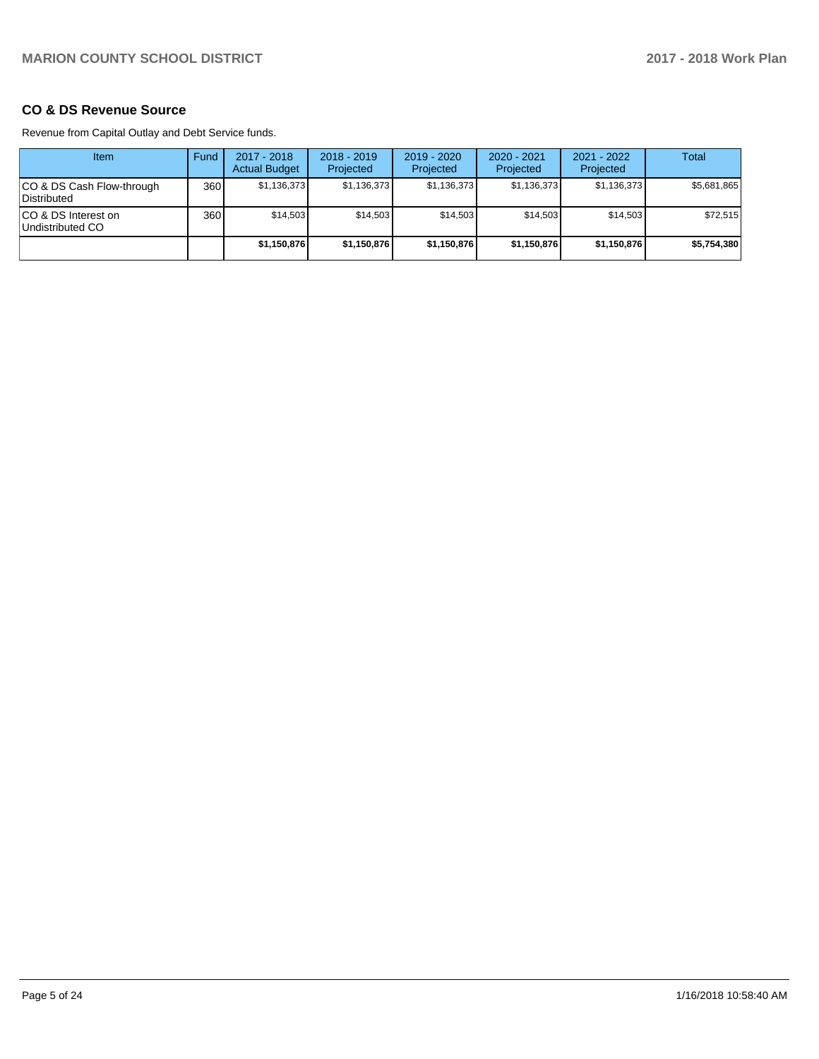# **CO & DS Revenue Source**

Revenue from Capital Outlay and Debt Service funds.

| Item                                      | Fund  | $2017 - 2018$<br><b>Actual Budget</b> | $2018 - 2019$<br>Projected | 2019 - 2020<br>Projected | $2020 - 2021$<br>Projected | $2021 - 2022$<br>Projected | Total       |
|-------------------------------------------|-------|---------------------------------------|----------------------------|--------------------------|----------------------------|----------------------------|-------------|
| ICO & DS Cash Flow-through<br>Distributed | 360 l | \$1,136,373                           | \$1,136,373                | \$1,136,373              | \$1,136,373                | \$1,136,373                | \$5,681,865 |
| ICO & DS Interest on<br>Undistributed CO  | 360 l | \$14.503                              | \$14,503                   | \$14.503                 | \$14.503                   | \$14,503                   | \$72,515    |
|                                           |       | \$1,150,876                           | \$1,150,876                | \$1,150,876              | \$1,150,876                | \$1,150,876                | \$5,754,380 |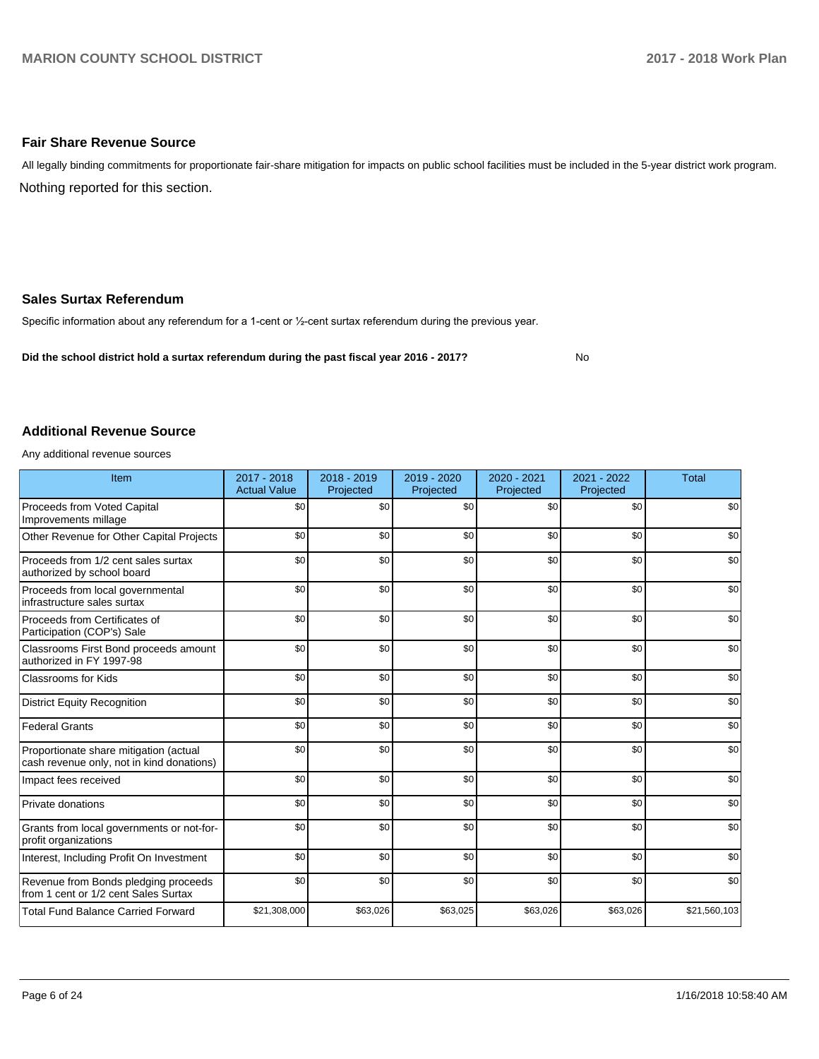### **Fair Share Revenue Source**

Nothing reported for this section. All legally binding commitments for proportionate fair-share mitigation for impacts on public school facilities must be included in the 5-year district work program.

### **Sales Surtax Referendum**

Specific information about any referendum for a 1-cent or 1/2-cent surtax referendum during the previous year.

**Did the school district hold a surtax referendum during the past fiscal year 2016 - 2017?**

No

### **Additional Revenue Source**

Any additional revenue sources

| Item                                                                                | $2017 - 2018$<br><b>Actual Value</b> | 2018 - 2019<br>Projected | 2019 - 2020<br>Projected | 2020 - 2021<br>Projected | 2021 - 2022<br>Projected | <b>Total</b> |
|-------------------------------------------------------------------------------------|--------------------------------------|--------------------------|--------------------------|--------------------------|--------------------------|--------------|
| Proceeds from Voted Capital<br>Improvements millage                                 | \$0                                  | \$0                      | \$0                      | \$0                      | \$0                      | \$0          |
| Other Revenue for Other Capital Projects                                            | \$0                                  | \$0                      | \$0                      | \$0                      | \$0                      | \$0          |
| Proceeds from 1/2 cent sales surtax<br>authorized by school board                   | \$0                                  | \$0                      | \$0                      | \$0                      | \$0                      | \$0          |
| Proceeds from local governmental<br>infrastructure sales surtax                     | \$0                                  | \$0                      | \$0                      | \$0                      | \$0                      | \$0          |
| Proceeds from Certificates of<br>Participation (COP's) Sale                         | \$0                                  | \$0                      | \$0                      | \$0                      | \$0                      | \$0          |
| Classrooms First Bond proceeds amount<br>authorized in FY 1997-98                   | \$0                                  | \$0                      | \$0                      | \$0                      | \$0                      | \$0          |
| <b>Classrooms for Kids</b>                                                          | \$0                                  | \$0                      | \$0                      | \$0                      | \$0                      | \$0          |
| <b>District Equity Recognition</b>                                                  | \$0                                  | \$0                      | \$0                      | \$0                      | \$0                      | \$0          |
| <b>Federal Grants</b>                                                               | \$0                                  | \$0                      | \$0                      | \$0                      | \$0                      | \$0          |
| Proportionate share mitigation (actual<br>cash revenue only, not in kind donations) | \$0                                  | \$0                      | \$0                      | \$0                      | \$0                      | \$0          |
| Impact fees received                                                                | \$0                                  | \$0                      | \$0                      | \$0                      | \$0                      | \$0          |
| Private donations                                                                   | \$0                                  | \$0                      | \$0                      | \$0                      | \$0                      | \$0          |
| Grants from local governments or not-for-<br>profit organizations                   | \$0                                  | \$0                      | \$0                      | \$0                      | \$0                      | \$0          |
| Interest, Including Profit On Investment                                            | \$0                                  | \$0                      | \$0                      | \$0                      | \$0                      | \$0          |
| Revenue from Bonds pledging proceeds<br>from 1 cent or 1/2 cent Sales Surtax        | \$0                                  | \$0                      | \$0                      | \$0                      | \$0                      | \$0          |
| <b>Total Fund Balance Carried Forward</b>                                           | \$21,308,000                         | \$63,026                 | \$63,025                 | \$63,026                 | \$63,026                 | \$21,560,103 |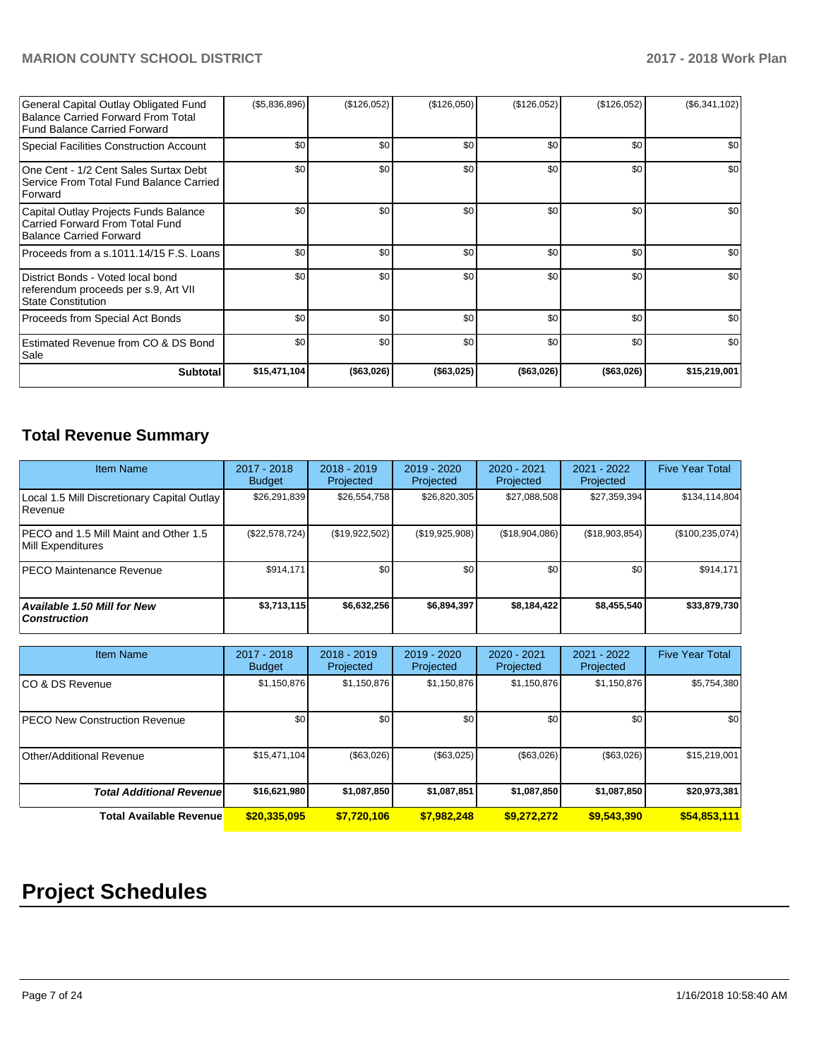| General Capital Outlay Obligated Fund<br>Balance Carried Forward From Total<br>Fund Balance Carried Forward | (\$5,836,896)    | (\$126,052) | (\$126,050) | (\$126,052) | (\$126,052) | $(\$6,341,102)$ |
|-------------------------------------------------------------------------------------------------------------|------------------|-------------|-------------|-------------|-------------|-----------------|
| Special Facilities Construction Account                                                                     | \$0              | \$0         | \$0         | \$0         | \$0         | \$0             |
| One Cent - 1/2 Cent Sales Surtax Debt<br>Service From Total Fund Balance Carried<br><b>Forward</b>          | \$0 <sub>1</sub> | \$0         | \$0         | \$0         | \$0         | \$0             |
| Capital Outlay Projects Funds Balance<br>Carried Forward From Total Fund<br>Balance Carried Forward         | \$0              | \$0         | \$0         | \$0         | \$0         | \$0             |
| Proceeds from a s.1011.14/15 F.S. Loans                                                                     | \$0              | \$0         | \$0         | \$0         | \$0         | \$0             |
| District Bonds - Voted local bond<br>referendum proceeds per s.9, Art VII<br><b>State Constitution</b>      | \$0              | \$0         | \$0         | \$0         | \$0         | \$0             |
| Proceeds from Special Act Bonds                                                                             | \$0              | \$0         | \$0         | \$0         | \$0         | \$0             |
| Estimated Revenue from CO & DS Bond<br>Sale                                                                 | \$0              | \$0         | \$0         | \$0         | \$0         | \$0             |
| <b>Subtotal</b>                                                                                             | \$15,471,104     | (\$63,026)  | (\$63,025)  | (\$63,026)  | (\$63,026)  | \$15,219,001    |

# **Total Revenue Summary**

| <b>Item Name</b>                                           | $2017 - 2018$<br><b>Budget</b> | $2018 - 2019$<br>Projected | $2019 - 2020$<br>Projected | $2020 - 2021$<br>Projected | 2021 - 2022<br>Projected | <b>Five Year Total</b> |
|------------------------------------------------------------|--------------------------------|----------------------------|----------------------------|----------------------------|--------------------------|------------------------|
| Local 1.5 Mill Discretionary Capital Outlay<br>Revenue     | \$26,291,839                   | \$26,554,758               | \$26,820,305               | \$27,088,508               | \$27,359,394             | \$134,114,804          |
| PECO and 1.5 Mill Maint and Other 1.5<br>Mill Expenditures | (\$22,578,724)                 | (\$19,922,502)             | (\$19,925,908)             | (\$18,904,086)             | (\$18,903,854)           | (\$100, 235, 074)      |
| <b>IPECO Maintenance Revenue</b>                           | \$914.171                      | \$0                        | \$0                        | \$0                        | \$0 <sub>1</sub>         | \$914,171              |
| Available 1.50 Mill for New<br>  Construction              | \$3,713,115                    | \$6,632,256                | \$6,894,397                | \$8,184,422                | \$8,455,540              | \$33,879,730           |

| <b>Item Name</b>                      | 2017 - 2018<br><b>Budget</b> | $2018 - 2019$<br>Projected | $2019 - 2020$<br>Projected | 2020 - 2021<br>Projected | 2021 - 2022<br>Projected | <b>Five Year Total</b> |
|---------------------------------------|------------------------------|----------------------------|----------------------------|--------------------------|--------------------------|------------------------|
| ICO & DS Revenue                      | \$1,150,876                  | \$1,150,876                | \$1,150,876                | \$1,150,876              | \$1,150,876              | \$5,754,380            |
| <b>IPECO New Construction Revenue</b> | \$0                          | \$0 <sub>1</sub>           | \$0                        | \$0                      | \$0                      | \$0                    |
| Other/Additional Revenue              | \$15,471,104                 | (\$63,026)                 | (\$63,025)                 | (\$63,026)               | (\$63,026)               | \$15,219,001           |
| <b>Total Additional Revenuel</b>      | \$16,621,980                 | \$1,087,850                | \$1,087,851                | \$1,087,850              | \$1,087,850              | \$20,973,381           |
| <b>Total Available Revenue</b>        | \$20,335,095                 | \$7,720,106                | \$7,982,248                | \$9,272,272              | \$9,543,390              | \$54,853,111           |

# **Project Schedules**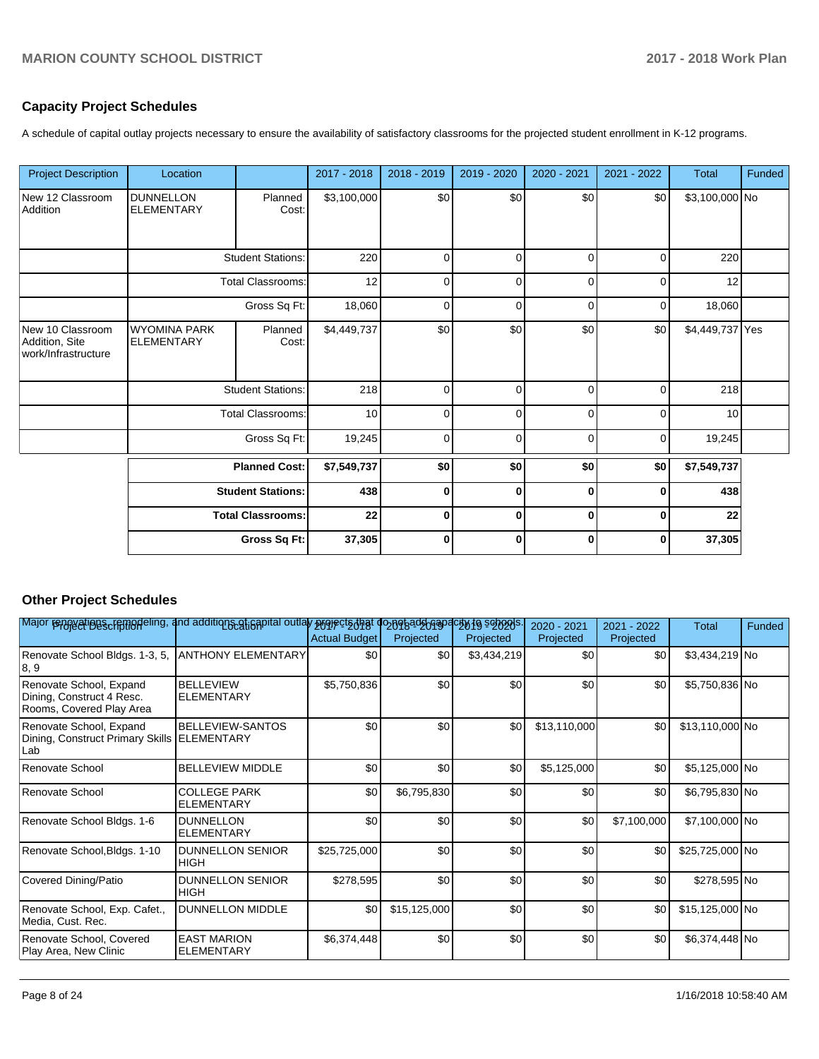# **Capacity Project Schedules**

A schedule of capital outlay projects necessary to ensure the availability of satisfactory classrooms for the projected student enrollment in K-12 programs.

| <b>Project Description</b>                                | Location                                 |                          | 2017 - 2018 | 2018 - 2019 | 2019 - 2020 | 2020 - 2021 | 2021 - 2022 | <b>Total</b>    | Funded |
|-----------------------------------------------------------|------------------------------------------|--------------------------|-------------|-------------|-------------|-------------|-------------|-----------------|--------|
| New 12 Classroom<br>Addition                              | <b>DUNNELLON</b><br><b>ELEMENTARY</b>    | Planned<br>Cost:         | \$3,100,000 | \$0         | \$0         | \$0         | \$0         | \$3,100,000 No  |        |
|                                                           |                                          | <b>Student Stations:</b> | 220         | $\Omega$    | $\Omega$    | $\Omega$    | 0           | 220             |        |
|                                                           |                                          | <b>Total Classrooms:</b> | 12          | $\Omega$    | $\Omega$    | $\Omega$    | $\Omega$    | 12              |        |
|                                                           |                                          | Gross Sq Ft:             | 18,060      | $\Omega$    | $\Omega$    | $\Omega$    | $\Omega$    | 18,060          |        |
| New 10 Classroom<br>Addition, Site<br>work/Infrastructure | <b>WYOMINA PARK</b><br><b>ELEMENTARY</b> | Planned<br>Cost:         | \$4,449,737 | \$0         | \$0         | \$0         | \$0         | \$4,449,737 Yes |        |
|                                                           |                                          | <b>Student Stations:</b> | 218         | $\Omega$    | $\Omega$    | 0           | 0           | 218             |        |
|                                                           |                                          | <b>Total Classrooms:</b> | 10          | $\Omega$    | $\Omega$    | $\Omega$    | $\Omega$    | 10              |        |
|                                                           |                                          | Gross Sq Ft:             | 19,245      | $\Omega$    | $\Omega$    | $\Omega$    | $\Omega$    | 19,245          |        |
|                                                           |                                          | <b>Planned Cost:</b>     | \$7,549,737 | \$0         | \$0         | \$0         | \$0         | \$7,549,737     |        |
|                                                           |                                          | <b>Student Stations:</b> | 438         | 0           | $\bf{0}$    | $\bf{0}$    | $\bf{0}$    | 438             |        |
|                                                           |                                          | <b>Total Classrooms:</b> |             | $\bf{0}$    | $\bf{0}$    | $\bf{0}$    | $\bf{0}$    | 22              |        |
|                                                           |                                          | Gross Sq Ft:             | 37,305      | $\bf{0}$    | $\bf{0}$    | $\bf{0}$    | $\bf{0}$    | 37,305          |        |

# **Other Project Schedules**

| Major reppyatings cremodeling, and additions at is apital outlay properts that donothad board to to selects. |                                              | <b>Actual Budget</b> | Projected    | Projected   | 2020 - 2021<br>Projected | 2021 - 2022<br>Projected | <b>Total</b>    | Funded |
|--------------------------------------------------------------------------------------------------------------|----------------------------------------------|----------------------|--------------|-------------|--------------------------|--------------------------|-----------------|--------|
| Renovate School Bldgs. 1-3, 5,<br> 8, 9                                                                      | <b>ANTHONY ELEMENTARY</b>                    | \$0                  | \$0          | \$3,434,219 | \$0                      | \$0                      | \$3,434,219 No  |        |
| Renovate School, Expand<br>Dining, Construct 4 Resc.<br>Rooms, Covered Play Area                             | <b>BELLEVIEW</b><br><b>ELEMENTARY</b>        | \$5,750,836          | \$0          | \$0         | \$0                      | \$0                      | \$5,750,836 No  |        |
| Renovate School, Expand<br>Dining, Construct Primary Skills<br>Lab                                           | <b>BELLEVIEW-SANTOS</b><br><b>ELEMENTARY</b> | \$0                  | \$0          | \$0         | \$13,110,000             | \$0                      | \$13,110,000 No |        |
| Renovate School                                                                                              | <b>BELLEVIEW MIDDLE</b>                      | \$0                  | \$0          | \$0         | \$5,125,000              | \$0                      | \$5,125,000 No  |        |
| Renovate School                                                                                              | <b>COLLEGE PARK</b><br><b>ELEMENTARY</b>     | \$0                  | \$6,795,830  | \$0         | \$0                      | \$0                      | \$6,795,830 No  |        |
| Renovate School Bldgs. 1-6                                                                                   | <b>DUNNELLON</b><br><b>ELEMENTARY</b>        | \$0                  | \$0          | \$0         | \$0                      | \$7,100,000              | \$7,100,000 No  |        |
| Renovate School, Bldgs. 1-10                                                                                 | <b>DUNNELLON SENIOR</b><br><b>HIGH</b>       | \$25,725,000         | \$0          | \$0         | \$0                      | \$0                      | \$25,725,000 No |        |
| Covered Dining/Patio                                                                                         | <b>DUNNELLON SENIOR</b><br><b>HIGH</b>       | \$278,595            | \$0          | \$0         | \$0                      | \$0                      | \$278,595 No    |        |
| Renovate School, Exp. Cafet.,<br>Media, Cust. Rec.                                                           | DUNNELLON MIDDLE                             | \$0                  | \$15,125,000 | \$0         | \$0                      | \$0                      | \$15,125,000 No |        |
| Renovate School, Covered<br>Play Area, New Clinic                                                            | <b>EAST MARION</b><br><b>ELEMENTARY</b>      | \$6,374,448          | \$0          | \$0         | \$0                      | \$0                      | \$6,374,448 No  |        |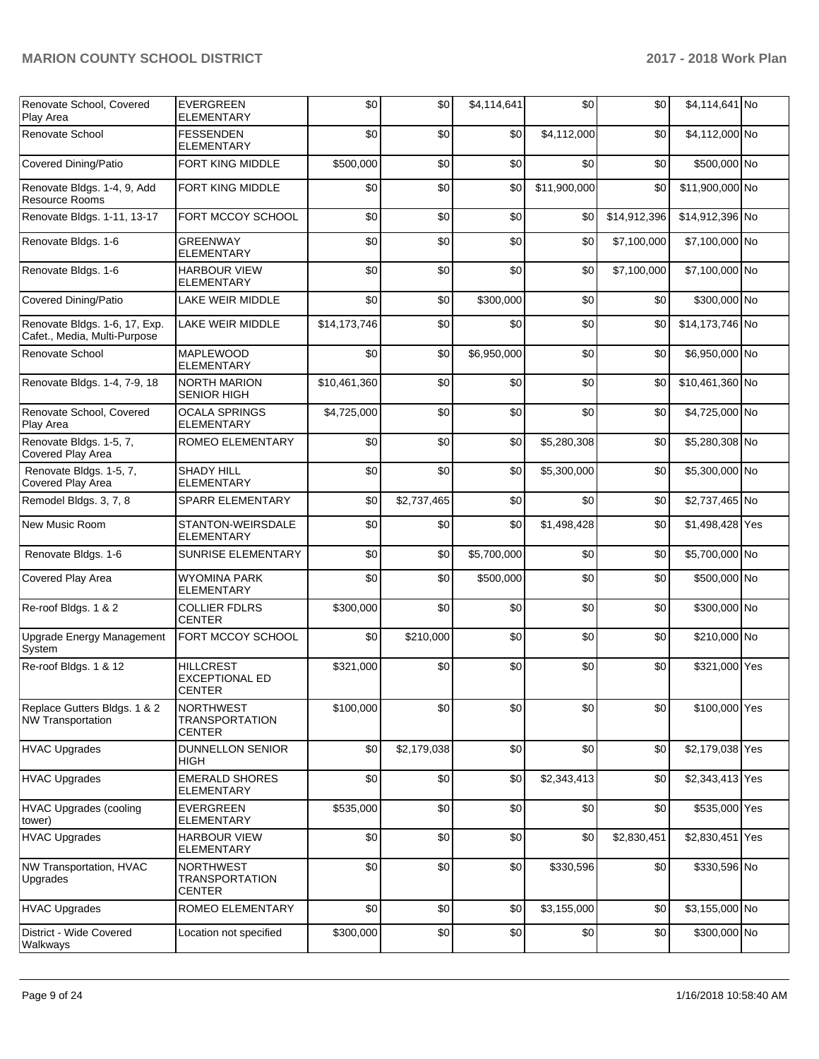| Renovate School, Covered<br>Play Area                         | <b>EVERGREEN</b><br><b>ELEMENTARY</b>                      | \$0          | \$0         | \$4,114,641 | \$0          | \$0          | \$4,114,641 No  |  |
|---------------------------------------------------------------|------------------------------------------------------------|--------------|-------------|-------------|--------------|--------------|-----------------|--|
| Renovate School                                               | <b>FESSENDEN</b><br><b>ELEMENTARY</b>                      | \$0          | \$0         | \$0         | \$4,112,000  | \$0          | \$4,112,000 No  |  |
| <b>Covered Dining/Patio</b>                                   | FORT KING MIDDLE                                           | \$500,000    | \$0         | \$0         | \$0          | \$0          | \$500,000 No    |  |
| Renovate Bldgs. 1-4, 9, Add<br><b>Resource Rooms</b>          | FORT KING MIDDLE                                           | \$0          | \$0         | \$0         | \$11,900,000 | \$0          | \$11,900,000 No |  |
| Renovate Bldgs. 1-11, 13-17                                   | FORT MCCOY SCHOOL                                          | \$0          | \$0         | \$0         | \$0          | \$14,912,396 | \$14,912,396 No |  |
| Renovate Bldgs. 1-6                                           | <b>GREENWAY</b><br><b>ELEMENTARY</b>                       | \$0          | \$0         | \$0         | \$0          | \$7,100,000  | \$7,100,000 No  |  |
| Renovate Bldgs. 1-6                                           | <b>HARBOUR VIEW</b><br><b>ELEMENTARY</b>                   | \$0          | \$0         | \$0         | \$0          | \$7,100,000  | \$7,100,000 No  |  |
| <b>Covered Dining/Patio</b>                                   | LAKE WEIR MIDDLE                                           | \$0          | \$0         | \$300,000   | \$0          | \$0          | \$300,000 No    |  |
| Renovate Bldgs. 1-6, 17, Exp.<br>Cafet., Media, Multi-Purpose | LAKE WEIR MIDDLE                                           | \$14,173,746 | \$0         | \$0         | \$0          | \$0          | \$14,173,746 No |  |
| Renovate School                                               | MAPLEWOOD<br><b>ELEMENTARY</b>                             | \$0          | \$0         | \$6,950,000 | \$0          | \$0          | \$6,950,000 No  |  |
| Renovate Bldgs. 1-4, 7-9, 18                                  | <b>NORTH MARION</b><br><b>SENIOR HIGH</b>                  | \$10,461,360 | \$0         | \$0         | \$0          | \$0          | \$10,461,360 No |  |
| Renovate School, Covered<br>Play Area                         | <b>OCALA SPRINGS</b><br><b>ELEMENTARY</b>                  | \$4,725,000  | \$0         | \$0         | \$0          | \$0          | \$4,725,000 No  |  |
| Renovate Bldgs. 1-5, 7,<br>Covered Play Area                  | ROMEO ELEMENTARY                                           | \$0          | \$0         | \$0         | \$5,280,308  | \$0          | \$5,280,308 No  |  |
| Renovate Bldgs. 1-5, 7,<br>Covered Play Area                  | <b>SHADY HILL</b><br><b>ELEMENTARY</b>                     | \$0          | \$0         | \$0         | \$5,300,000  | \$0          | \$5,300,000 No  |  |
| Remodel Bldgs. 3, 7, 8                                        | SPARR ELEMENTARY                                           | \$0          | \$2,737,465 | \$0         | \$0          | \$0          | \$2,737,465 No  |  |
| New Music Room                                                | STANTON-WEIRSDALE<br><b>ELEMENTARY</b>                     | \$0          | \$0         | \$0         | \$1,498,428  | \$0          | \$1,498,428 Yes |  |
| Renovate Bldgs. 1-6                                           | SUNRISE ELEMENTARY                                         | \$0          | \$0         | \$5,700,000 | \$0          | \$0          | \$5,700,000 No  |  |
| Covered Play Area                                             | <b>WYOMINA PARK</b><br><b>ELEMENTARY</b>                   | \$0          | \$0         | \$500,000   | \$0          | \$0          | \$500,000 No    |  |
| Re-roof Bldgs. 1 & 2                                          | <b>COLLIER FDLRS</b><br><b>CENTER</b>                      | \$300,000    | \$0         | \$0         | \$0          | \$0          | \$300,000 No    |  |
| Upgrade Energy Management<br>System                           | FORT MCCOY SCHOOL                                          | \$0          | \$210,000   | \$0         | \$0          | \$0          | \$210,000 No    |  |
| Re-roof Bldgs. 1 & 12                                         | <b>HILLCREST</b><br><b>EXCEPTIONAL ED</b><br><b>CENTER</b> | \$321,000    | \$0         | \$0         | \$0          | \$0          | \$321,000 Yes   |  |
| Replace Gutters Bldgs. 1 & 2<br>NW Transportation             | <b>NORTHWEST</b><br>TRANSPORTATION<br><b>CENTER</b>        | \$100,000    | \$0         | \$0         | \$0          | \$0          | \$100,000 Yes   |  |
| <b>HVAC Upgrades</b>                                          | <b>DUNNELLON SENIOR</b><br>HIGH                            | \$0          | \$2,179,038 | \$0         | \$0          | \$0          | \$2,179,038 Yes |  |
| <b>HVAC Upgrades</b>                                          | <b>EMERALD SHORES</b><br>ELEMENTARY                        | \$0          | \$0         | \$0         | \$2,343,413  | \$0          | \$2,343,413 Yes |  |
| <b>HVAC Upgrades (cooling</b><br>tower)                       | <b>EVERGREEN</b><br><b>ELEMENTARY</b>                      | \$535,000    | \$0         | \$0         | \$0          | \$0          | \$535,000 Yes   |  |
| <b>HVAC Upgrades</b>                                          | <b>HARBOUR VIEW</b><br><b>ELEMENTARY</b>                   | \$0          | \$0         | \$0         | \$0          | \$2,830,451  | \$2,830,451 Yes |  |
| NW Transportation, HVAC<br>Upgrades                           | <b>NORTHWEST</b><br><b>TRANSPORTATION</b><br><b>CENTER</b> | \$0          | \$0         | \$0         | \$330,596    | \$0          | \$330,596 No    |  |
| <b>HVAC Upgrades</b>                                          | ROMEO ELEMENTARY                                           | \$0          | \$0         | \$0         | \$3,155,000  | \$0          | \$3,155,000 No  |  |
| District - Wide Covered<br>Walkways                           | Location not specified                                     | \$300,000    | \$0         | \$0         | \$0          | \$0          | \$300,000 No    |  |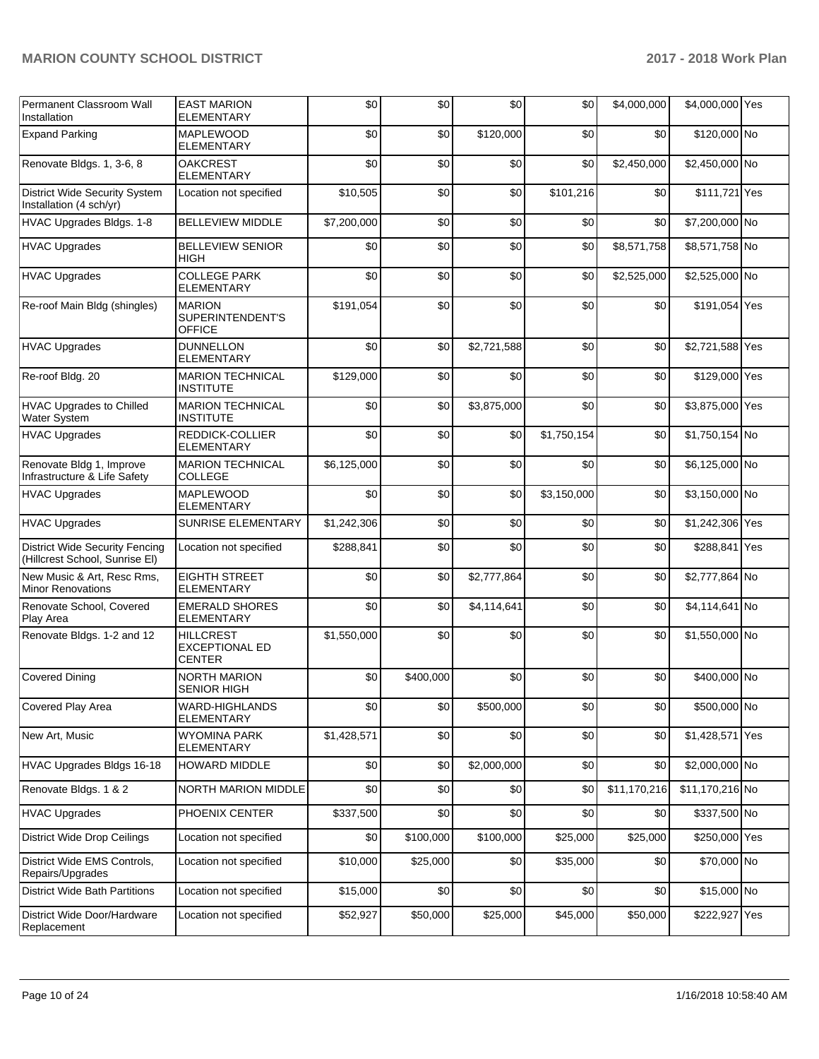| Permanent Classroom Wall<br>Installation                                | <b>EAST MARION</b><br><b>ELEMENTARY</b>             | \$0         | \$0       | \$0         | \$0         | \$4,000,000  | \$4,000,000 Yes |     |
|-------------------------------------------------------------------------|-----------------------------------------------------|-------------|-----------|-------------|-------------|--------------|-----------------|-----|
| <b>Expand Parking</b>                                                   | <b>MAPLEWOOD</b><br><b>ELEMENTARY</b>               | \$0         | \$0       | \$120,000   | \$0         | \$0          | \$120,000 No    |     |
| Renovate Bldgs. 1, 3-6, 8                                               | <b>OAKCREST</b><br><b>ELEMENTARY</b>                | \$0         | \$0       | \$0         | \$0         | \$2,450,000  | \$2,450,000 No  |     |
| District Wide Security System<br>Installation (4 sch/yr)                | Location not specified                              | \$10,505    | \$0       | \$0         | \$101,216   | \$0          | \$111,721 Yes   |     |
| HVAC Upgrades Bldgs. 1-8                                                | <b>BELLEVIEW MIDDLE</b>                             | \$7,200,000 | \$0       | \$0         | \$0         | \$0          | \$7,200,000 No  |     |
| <b>HVAC Upgrades</b>                                                    | <b>BELLEVIEW SENIOR</b><br><b>HIGH</b>              | \$0         | \$0       | \$0         | \$0         | \$8,571,758  | \$8,571,758 No  |     |
| <b>HVAC Upgrades</b>                                                    | <b>COLLEGE PARK</b><br><b>ELEMENTARY</b>            | \$0         | \$0       | \$0         | \$0         | \$2,525,000  | \$2,525,000 No  |     |
| Re-roof Main Bldg (shingles)                                            | <b>MARION</b><br>SUPERINTENDENT'S<br><b>OFFICE</b>  | \$191,054   | \$0       | \$0         | \$0         | \$0          | \$191,054 Yes   |     |
| <b>HVAC Upgrades</b>                                                    | <b>DUNNELLON</b><br><b>ELEMENTARY</b>               | \$0         | \$0       | \$2,721,588 | \$0         | \$0          | \$2,721,588 Yes |     |
| Re-roof Bldg. 20                                                        | <b>MARION TECHNICAL</b><br><b>INSTITUTE</b>         | \$129,000   | \$0       | \$0         | \$0         | \$0          | \$129,000 Yes   |     |
| HVAC Upgrades to Chilled<br>Water System                                | <b>MARION TECHNICAL</b><br><b>INSTITUTE</b>         | \$0         | \$0       | \$3,875,000 | \$0         | \$0          | \$3,875,000 Yes |     |
| <b>HVAC Upgrades</b>                                                    | REDDICK-COLLIER<br><b>ELEMENTARY</b>                | \$0         | \$0       | \$0         | \$1,750,154 | \$0          | \$1,750,154 No  |     |
| Renovate Bldg 1, Improve<br>Infrastructure & Life Safety                | <b>MARION TECHNICAL</b><br><b>COLLEGE</b>           | \$6,125,000 | \$0       | \$0         | \$0         | \$0          | \$6,125,000 No  |     |
| <b>HVAC Upgrades</b>                                                    | <b>MAPLEWOOD</b><br><b>ELEMENTARY</b>               | \$0         | \$0       | \$0         | \$3,150,000 | \$0          | \$3,150,000 No  |     |
| <b>HVAC Upgrades</b>                                                    | SUNRISE ELEMENTARY                                  | \$1,242,306 | \$0       | \$0         | \$0         | \$0          | \$1,242,306 Yes |     |
| <b>District Wide Security Fencing</b><br>(Hillcrest School, Sunrise EI) | Location not specified                              | \$288,841   | \$0       | \$0         | \$0         | \$0          | \$288,841       | Yes |
| New Music & Art, Resc Rms,<br><b>Minor Renovations</b>                  | <b>EIGHTH STREET</b><br><b>ELEMENTARY</b>           | \$0         | \$0       | \$2,777,864 | \$0         | \$0          | \$2,777,864 No  |     |
| Renovate School, Covered<br>Play Area                                   | <b>EMERALD SHORES</b><br><b>ELEMENTARY</b>          | \$0         | \$0       | \$4,114,641 | \$0         | \$0          | \$4,114,641 No  |     |
| Renovate Bldgs. 1-2 and 12                                              | <b>HILLCREST</b><br>EXCEPTIONAL ED<br><b>CENTER</b> | \$1,550,000 | \$0       | \$0         | \$0         | \$0          | \$1,550,000 No  |     |
| <b>Covered Dining</b>                                                   | <b>NORTH MARION</b><br><b>SENIOR HIGH</b>           | \$0         | \$400,000 | \$0         | \$0         | \$0          | \$400,000 No    |     |
| Covered Play Area                                                       | WARD-HIGHLANDS<br>ELEMENTARY                        | \$0         | \$0       | \$500,000   | \$0         | \$0          | \$500,000 No    |     |
| New Art, Music                                                          | <b>WYOMINA PARK</b><br><b>ELEMENTARY</b>            | \$1,428,571 | \$0       | \$0         | \$0         | \$0          | \$1,428,571 Yes |     |
| HVAC Upgrades Bldgs 16-18                                               | <b>HOWARD MIDDLE</b>                                | \$0         | \$0       | \$2,000,000 | \$0         | \$0          | \$2,000,000 No  |     |
| Renovate Bldgs. 1 & 2                                                   | NORTH MARION MIDDLE                                 | \$0         | \$0       | \$0         | \$0         | \$11,170,216 | \$11,170,216 No |     |
| <b>HVAC Upgrades</b>                                                    | PHOENIX CENTER                                      | \$337,500   | \$0       | \$0         | \$0         | \$0          | \$337,500 No    |     |
| <b>District Wide Drop Ceilings</b>                                      | Location not specified                              | \$0         | \$100,000 | \$100,000   | \$25,000    | \$25,000     | \$250,000 Yes   |     |
| District Wide EMS Controls,<br>Repairs/Upgrades                         | Location not specified                              | \$10,000    | \$25,000  | \$0         | \$35,000    | \$0          | \$70,000 No     |     |
| <b>District Wide Bath Partitions</b>                                    | Location not specified                              | \$15,000    | \$0       | \$0         | \$0         | \$0          | \$15,000 No     |     |
| District Wide Door/Hardware<br>Replacement                              | Location not specified                              | \$52,927    | \$50,000  | \$25,000    | \$45,000    | \$50,000     | \$222,927 Yes   |     |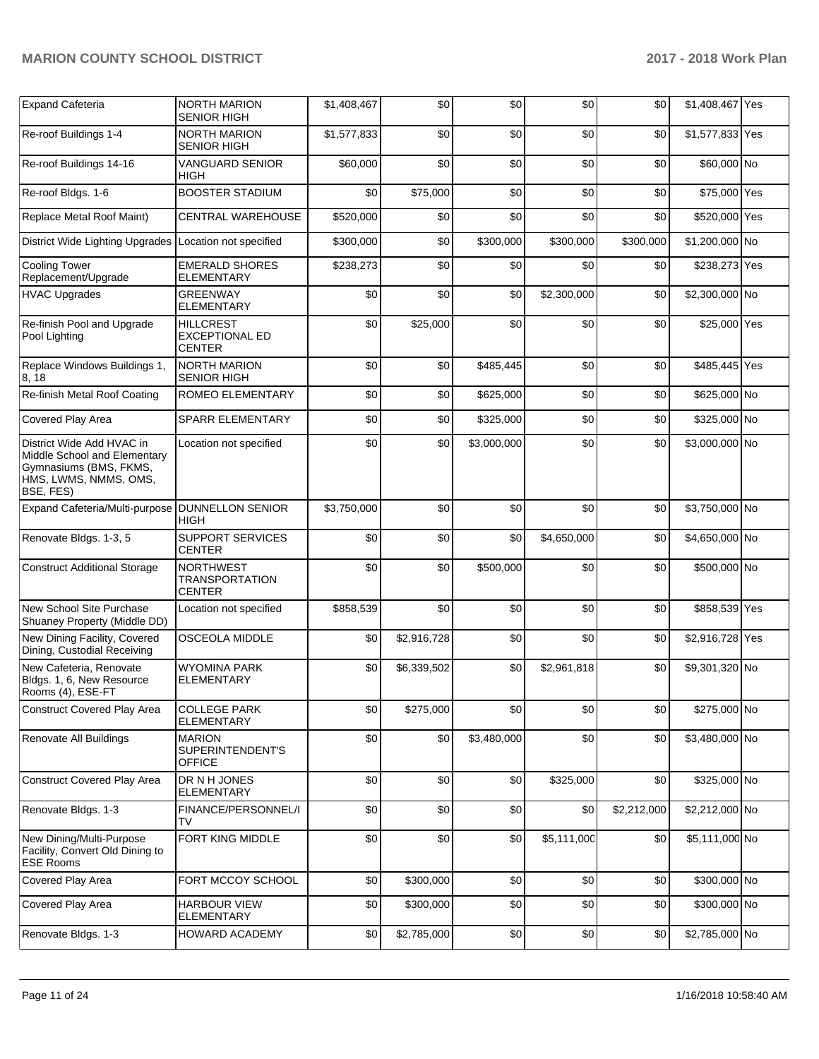| <b>Expand Cafeteria</b>                                                                                                   | <b>NORTH MARION</b>                                        | \$1,408,467 | \$0         | \$0         | \$0         | \$0         | \$1,408,467 Yes |  |
|---------------------------------------------------------------------------------------------------------------------------|------------------------------------------------------------|-------------|-------------|-------------|-------------|-------------|-----------------|--|
|                                                                                                                           | SENIOR HIGH                                                |             |             |             |             |             |                 |  |
| Re-roof Buildings 1-4                                                                                                     | <b>NORTH MARION</b><br><b>SENIOR HIGH</b>                  | \$1,577,833 | \$0         | \$0         | \$0         | \$0         | \$1,577,833 Yes |  |
| Re-roof Buildings 14-16                                                                                                   | <b>VANGUARD SENIOR</b><br>HIGH                             | \$60,000    | \$0         | \$0         | \$0         | \$0         | \$60,000 No     |  |
| Re-roof Bldgs. 1-6                                                                                                        | <b>BOOSTER STADIUM</b>                                     | \$0         | \$75,000    | \$0         | \$0         | \$0         | \$75,000 Yes    |  |
| Replace Metal Roof Maint)                                                                                                 | <b>CENTRAL WAREHOUSE</b>                                   | \$520,000   | \$0         | \$0         | \$0         | \$0         | \$520,000 Yes   |  |
| <b>District Wide Lighting Upgrades</b>                                                                                    | Location not specified                                     | \$300,000   | \$0         | \$300,000   | \$300,000   | \$300.000   | \$1,200,000 No  |  |
| <b>Cooling Tower</b><br>Replacement/Upgrade                                                                               | <b>EMERALD SHORES</b><br>ELEMENTARY                        | \$238,273   | \$0         | \$0         | \$0         | \$0         | \$238,273 Yes   |  |
| <b>HVAC Upgrades</b>                                                                                                      | GREENWAY<br><b>ELEMENTARY</b>                              | \$0         | \$0         | \$0         | \$2,300,000 | \$0         | \$2,300,000 No  |  |
| Re-finish Pool and Upgrade<br>Pool Lighting                                                                               | <b>HILLCREST</b><br><b>EXCEPTIONAL ED</b><br><b>CENTER</b> | \$0         | \$25,000    | \$0         | \$0         | \$0         | \$25,000 Yes    |  |
| Replace Windows Buildings 1,<br>8, 18                                                                                     | <b>NORTH MARION</b><br><b>SENIOR HIGH</b>                  | \$0         | \$0         | \$485,445   | \$0         | \$0         | \$485,445 Yes   |  |
| Re-finish Metal Roof Coating                                                                                              | ROMEO ELEMENTARY                                           | \$0         | \$0         | \$625,000   | \$0         | \$0         | \$625,000 No    |  |
| Covered Play Area                                                                                                         | <b>SPARR ELEMENTARY</b>                                    | \$0         | \$0         | \$325,000   | \$0         | \$0         | \$325,000 No    |  |
| District Wide Add HVAC in<br>Middle School and Elementary<br>Gymnasiums (BMS, FKMS,<br>HMS, LWMS, NMMS, OMS,<br>BSE, FES) | Location not specified                                     | \$0         | \$0         | \$3,000,000 | \$0         | \$0         | \$3,000,000 No  |  |
| Expand Cafeteria/Multi-purpose   DUNNELLON SENIOR                                                                         | HIGH                                                       | \$3,750,000 | \$0         | \$0         | \$0         | \$0         | \$3,750,000 No  |  |
| Renovate Bldgs. 1-3, 5                                                                                                    | <b>SUPPORT SERVICES</b><br><b>CENTER</b>                   | \$0         | \$0         | \$0         | \$4,650,000 | \$0         | \$4,650,000 No  |  |
| <b>Construct Additional Storage</b>                                                                                       | <b>NORTHWEST</b><br><b>TRANSPORTATION</b><br><b>CENTER</b> | \$0         | \$0         | \$500,000   | \$0         | \$0         | \$500,000 No    |  |
| New School Site Purchase<br>Shuaney Property (Middle DD)                                                                  | Location not specified                                     | \$858,539   | \$0         | \$0         | \$0         | \$0         | \$858,539 Yes   |  |
| New Dining Facility, Covered<br>Dining, Custodial Receiving                                                               | <b>OSCEOLA MIDDLE</b>                                      | \$0         | \$2,916,728 | \$0         | \$0         | \$0         | \$2,916,728 Yes |  |
| New Cafeteria, Renovate<br>Bldgs. 1, 6, New Resource<br>Rooms (4), ESE-FT                                                 | <b>WYOMINA PARK</b><br><b>ELEMENTARY</b>                   | \$0         | \$6,339,502 | \$0         | \$2,961,818 | \$0         | \$9,301,320 No  |  |
| <b>Construct Covered Play Area</b>                                                                                        | <b>COLLEGE PARK</b><br><b>ELEMENTARY</b>                   | \$0         | \$275,000   | \$0         | \$0         | \$0         | \$275,000 No    |  |
| Renovate All Buildings                                                                                                    | <b>MARION</b><br>SUPERINTENDENT'S<br><b>OFFICE</b>         | \$0         | \$0         | \$3,480,000 | \$0         | \$0         | \$3,480,000 No  |  |
| <b>Construct Covered Play Area</b>                                                                                        | DR N H JONES<br>ELEMENTARY                                 | \$0         | \$0         | \$0         | \$325,000   | \$0         | \$325,000 No    |  |
| Renovate Bldgs. 1-3                                                                                                       | FINANCE/PERSONNEL/I<br>TV                                  | \$0         | \$0         | \$0         | \$0         | \$2,212,000 | \$2,212,000 No  |  |
| New Dining/Multi-Purpose<br>Facility, Convert Old Dining to<br><b>ESE Rooms</b>                                           | FORT KING MIDDLE                                           | \$0         | \$0         | \$0         | \$5,111,000 | \$0         | \$5,111,000 No  |  |
| Covered Play Area                                                                                                         | FORT MCCOY SCHOOL                                          | \$0         | \$300,000   | \$0         | \$0         | \$0         | \$300,000 No    |  |
| Covered Play Area                                                                                                         | <b>HARBOUR VIEW</b><br><b>ELEMENTARY</b>                   | \$0         | \$300,000   | \$0         | \$0         | \$0         | \$300,000 No    |  |
| Renovate Bldgs. 1-3                                                                                                       | HOWARD ACADEMY                                             | \$0         | \$2,785,000 | \$0         | \$0         | \$0         | \$2,785,000 No  |  |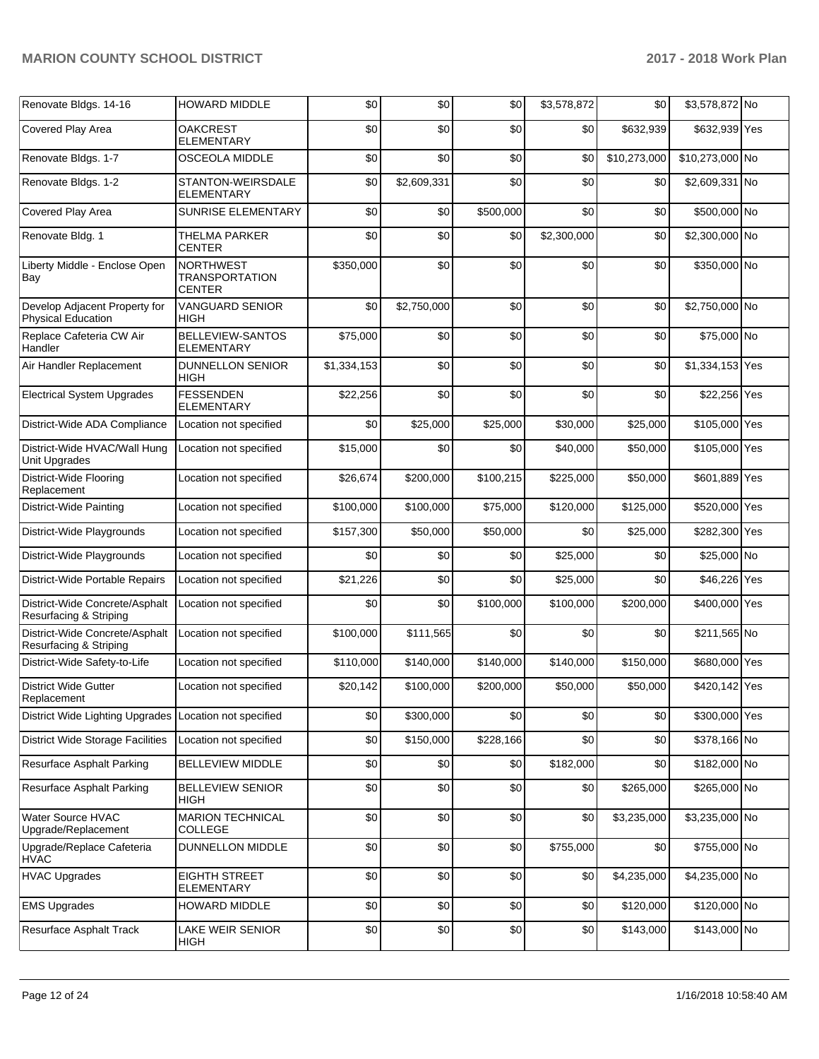| Renovate Bldgs. 14-16                                      | <b>HOWARD MIDDLE</b>                                       | \$0         | \$0         | \$0       | \$3,578,872 | \$0          | \$3,578,872 No  |     |
|------------------------------------------------------------|------------------------------------------------------------|-------------|-------------|-----------|-------------|--------------|-----------------|-----|
| Covered Play Area                                          | <b>OAKCREST</b><br><b>ELEMENTARY</b>                       | \$0         | \$0         | \$0       | \$0         | \$632,939    | \$632,939 Yes   |     |
| Renovate Bldgs. 1-7                                        | OSCEOLA MIDDLE                                             | \$0         | \$0         | \$0       | \$0         | \$10,273,000 | \$10,273,000 No |     |
| Renovate Bldgs. 1-2                                        | STANTON-WEIRSDALE<br><b>ELEMENTARY</b>                     | \$0         | \$2,609,331 | \$0       | \$0         | \$0          | \$2,609,331 No  |     |
| Covered Play Area                                          | SUNRISE ELEMENTARY                                         | \$0         | \$0         | \$500,000 | \$0         | \$0          | \$500,000 No    |     |
| Renovate Bldg. 1                                           | <b>THELMA PARKER</b><br><b>CENTER</b>                      | \$0         | \$0         | \$0       | \$2,300,000 | \$0          | \$2,300,000 No  |     |
| Liberty Middle - Enclose Open<br>Bay                       | <b>NORTHWEST</b><br><b>TRANSPORTATION</b><br><b>CENTER</b> | \$350,000   | \$0         | \$0       | \$0         | \$0          | \$350,000 No    |     |
| Develop Adjacent Property for<br><b>Physical Education</b> | VANGUARD SENIOR<br>HIGH                                    | \$0         | \$2,750,000 | \$0       | \$0         | \$0          | \$2,750,000 No  |     |
| Replace Cafeteria CW Air<br>Handler                        | BELLEVIEW-SANTOS<br>ELEMENTARY                             | \$75,000    | \$0         | \$0       | \$0         | \$0          | \$75,000 No     |     |
| Air Handler Replacement                                    | <b>DUNNELLON SENIOR</b><br>HIGH                            | \$1,334,153 | \$0         | \$0       | \$0         | \$0          | \$1,334,153 Yes |     |
| <b>Electrical System Upgrades</b>                          | <b>FESSENDEN</b><br><b>ELEMENTARY</b>                      | \$22,256    | \$0         | \$0       | \$0         | \$0          | \$22,256 Yes    |     |
| District-Wide ADA Compliance                               | Location not specified                                     | \$0         | \$25,000    | \$25,000  | \$30,000    | \$25,000     | \$105,000 Yes   |     |
| District-Wide HVAC/Wall Hung<br>Unit Upgrades              | Location not specified                                     | \$15,000    | \$0         | \$0       | \$40,000    | \$50,000     | \$105,000 Yes   |     |
| District-Wide Flooring<br>Replacement                      | Location not specified                                     | \$26,674    | \$200,000   | \$100,215 | \$225,000   | \$50,000     | \$601,889 Yes   |     |
| District-Wide Painting                                     | Location not specified                                     | \$100,000   | \$100,000   | \$75,000  | \$120,000   | \$125,000    | \$520,000 Yes   |     |
| District-Wide Playgrounds                                  | Location not specified                                     | \$157,300   | \$50,000    | \$50,000  | \$0         | \$25,000     | \$282,300 Yes   |     |
| District-Wide Playgrounds                                  | Location not specified                                     | \$0         | \$0         | \$0       | \$25,000    | \$0          | \$25,000 No     |     |
| District-Wide Portable Repairs                             | Location not specified                                     | \$21,226    | \$0         | \$0       | \$25,000    | \$0          | \$46,226        | Yes |
| District-Wide Concrete/Asphalt<br>Resurfacing & Striping   | Location not specified                                     | \$0         | \$0         | \$100,000 | \$100,000   | \$200,000    | \$400,000 Yes   |     |
| District-Wide Concrete/Asphalt<br>Resurfacing & Striping   | Location not specified                                     | \$100,000   | \$111,565   | \$0       | \$0         | \$0          | \$211,565 No    |     |
| District-Wide Safety-to-Life                               | Location not specified                                     | \$110,000   | \$140,000   | \$140,000 | \$140,000   | \$150,000    | \$680,000 Yes   |     |
| <b>District Wide Gutter</b><br>Replacement                 | Location not specified                                     | \$20,142    | \$100,000   | \$200,000 | \$50,000    | \$50,000     | \$420,142 Yes   |     |
| <b>District Wide Lighting Upgrades</b>                     | Location not specified                                     | \$0         | \$300,000   | \$0       | \$0         | \$0          | \$300,000 Yes   |     |
| <b>District Wide Storage Facilities</b>                    | Location not specified                                     | \$0         | \$150,000   | \$228,166 | \$0         | \$0          | \$378,166 No    |     |
| Resurface Asphalt Parking                                  | <b>BELLEVIEW MIDDLE</b>                                    | \$0         | \$0         | \$0       | \$182,000   | \$0          | \$182,000 No    |     |
| Resurface Asphalt Parking                                  | <b>BELLEVIEW SENIOR</b><br>HIGH                            | \$0         | \$0         | \$0       | \$0         | \$265,000    | \$265,000 No    |     |
| Water Source HVAC<br>Upgrade/Replacement                   | <b>MARION TECHNICAL</b><br><b>COLLEGE</b>                  | \$0         | \$0         | \$0       | \$0         | \$3,235,000  | \$3,235,000 No  |     |
| Upgrade/Replace Cafeteria<br><b>HVAC</b>                   | DUNNELLON MIDDLE                                           | \$0         | \$0         | \$0       | \$755,000   | \$0          | \$755,000 No    |     |
| <b>HVAC Upgrades</b>                                       | <b>EIGHTH STREET</b><br>ELEMENTARY                         | \$0         | \$0         | \$0       | \$0         | \$4,235,000  | \$4,235,000 No  |     |
| <b>EMS Upgrades</b>                                        | HOWARD MIDDLE                                              | \$0         | \$0         | \$0       | \$0         | \$120,000    | \$120,000 No    |     |
| Resurface Asphalt Track                                    | LAKE WEIR SENIOR<br><b>HIGH</b>                            | \$0         | \$0         | \$0       | \$0         | \$143,000    | \$143,000 No    |     |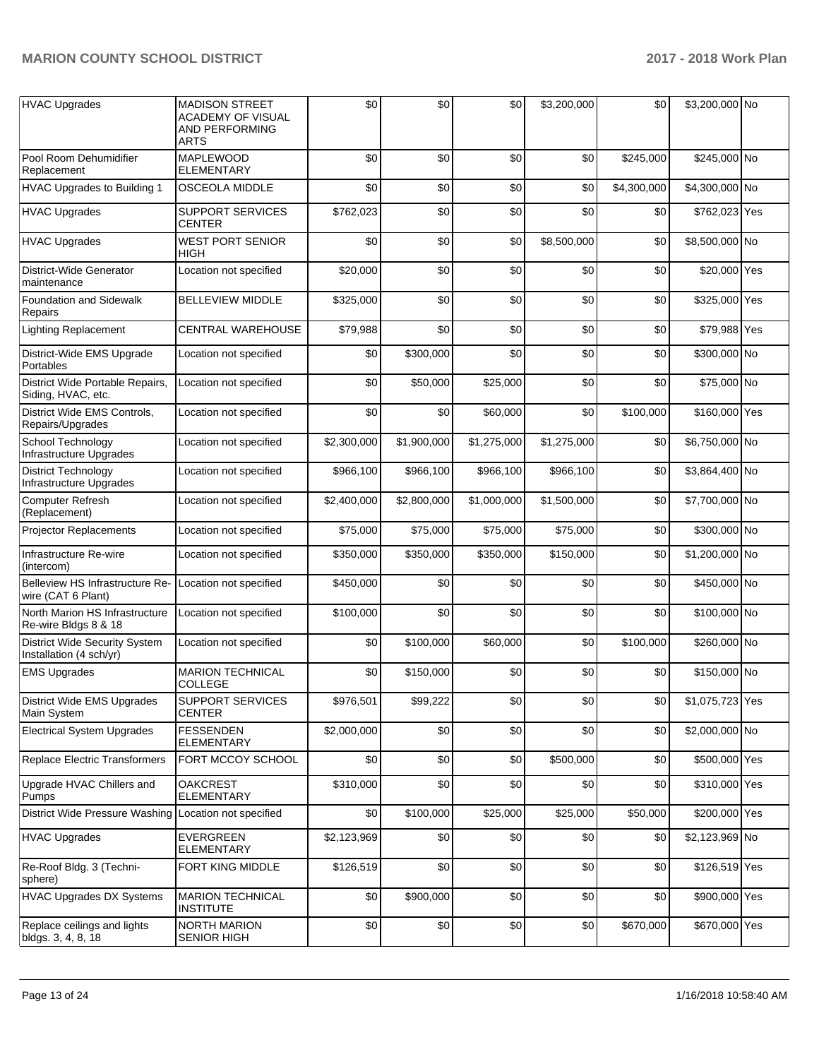| HVAC Upgrades                                                   | <b>MADISON STREET</b><br><b>ACADEMY OF VISUAL</b><br>AND PERFORMING<br><b>ARTS</b> | \$0         | \$0         | \$0         | \$3,200,000 | \$0         | \$3,200,000 No  |  |
|-----------------------------------------------------------------|------------------------------------------------------------------------------------|-------------|-------------|-------------|-------------|-------------|-----------------|--|
| Pool Room Dehumidifier<br>Replacement                           | <b>MAPLEWOOD</b><br><b>ELEMENTARY</b>                                              | \$0         | \$0         | \$0         | \$0         | \$245,000   | \$245,000 No    |  |
| <b>HVAC Upgrades to Building 1</b>                              | <b>OSCEOLA MIDDLE</b>                                                              | \$0         | \$0         | \$0         | \$0         | \$4,300,000 | \$4,300,000 No  |  |
| <b>HVAC Upgrades</b>                                            | <b>SUPPORT SERVICES</b><br><b>CENTER</b>                                           | \$762,023   | \$0         | \$0         | \$0         | \$0         | \$762,023 Yes   |  |
| <b>HVAC Upgrades</b>                                            | <b>WEST PORT SENIOR</b><br>HIGH                                                    | \$0         | \$0         | \$0         | \$8,500,000 | \$0         | \$8,500,000 No  |  |
| District-Wide Generator<br>maintenance                          | Location not specified                                                             | \$20,000    | \$0         | \$0         | \$0         | \$0         | \$20,000 Yes    |  |
| <b>Foundation and Sidewalk</b><br>Repairs                       | <b>BELLEVIEW MIDDLE</b>                                                            | \$325,000   | \$0         | \$0         | \$0         | \$0         | \$325,000 Yes   |  |
| <b>Lighting Replacement</b>                                     | CENTRAL WAREHOUSE                                                                  | \$79,988    | \$0         | \$0         | \$0         | \$0         | \$79,988 Yes    |  |
| District-Wide EMS Upgrade<br>Portables                          | Location not specified                                                             | \$0         | \$300,000   | \$0         | \$0         | \$0         | \$300,000 No    |  |
| District Wide Portable Repairs,<br>Siding, HVAC, etc.           | Location not specified                                                             | \$0         | \$50,000    | \$25,000    | \$0         | \$0         | \$75,000 No     |  |
| District Wide EMS Controls,<br>Repairs/Upgrades                 | Location not specified                                                             | \$0         | \$0         | \$60,000    | \$0         | \$100,000   | \$160,000 Yes   |  |
| School Technology<br>Infrastructure Upgrades                    | Location not specified                                                             | \$2,300,000 | \$1,900,000 | \$1,275,000 | \$1,275,000 | \$0         | \$6,750,000 No  |  |
| <b>District Technology</b><br>Infrastructure Upgrades           | Location not specified                                                             | \$966,100   | \$966,100   | \$966,100   | \$966,100   | \$0         | \$3,864,400 No  |  |
| <b>Computer Refresh</b><br>(Replacement)                        | Location not specified                                                             | \$2,400,000 | \$2,800,000 | \$1,000,000 | \$1,500,000 | \$0         | \$7,700,000 No  |  |
| Projector Replacements                                          | Location not specified                                                             | \$75,000    | \$75,000    | \$75,000    | \$75,000    | \$0         | \$300,000 No    |  |
| Infrastructure Re-wire<br>(intercom)                            | Location not specified                                                             | \$350,000   | \$350,000   | \$350,000   | \$150,000   | \$0         | \$1,200,000 No  |  |
| Belleview HS Infrastructure Re-<br>wire (CAT 6 Plant)           | Location not specified                                                             | \$450,000   | \$0         | \$0         | \$0         | \$0         | \$450,000 No    |  |
| North Marion HS Infrastructure<br>Re-wire Bldgs 8 & 18          | Location not specified                                                             | \$100,000   | \$0         | \$0         | \$0         | \$0         | \$100,000 No    |  |
| <b>District Wide Security System</b><br>Installation (4 sch/yr) | Location not specified                                                             | \$0         | \$100,000   | \$60,000    | \$0         | \$100,000   | \$260,000 No    |  |
| <b>EMS Upgrades</b>                                             | <b>MARION TECHNICAL</b><br><b>COLLEGE</b>                                          | \$0         | \$150,000   | \$0         | \$0         | \$0         | \$150,000 No    |  |
| <b>District Wide EMS Upgrades</b><br>Main System                | SUPPORT SERVICES<br>CENTER                                                         | \$976,501   | \$99,222    | \$0         | \$0         | \$0         | \$1,075,723 Yes |  |
| <b>Electrical System Upgrades</b>                               | <b>FESSENDEN</b><br><b>ELEMENTARY</b>                                              | \$2,000,000 | \$0         | \$0         | \$0         | \$0         | \$2,000,000 No  |  |
| Replace Electric Transformers                                   | FORT MCCOY SCHOOL                                                                  | \$0         | \$0         | \$0         | \$500,000   | \$0         | \$500,000 Yes   |  |
| Upgrade HVAC Chillers and<br>Pumps                              | <b>OAKCREST</b><br><b>ELEMENTARY</b>                                               | \$310,000   | \$0         | \$0         | \$0         | \$0         | \$310,000 Yes   |  |
| District Wide Pressure Washing Location not specified           |                                                                                    | \$0         | \$100,000   | \$25,000    | \$25,000    | \$50,000    | \$200,000 Yes   |  |
| <b>HVAC Upgrades</b>                                            | <b>EVERGREEN</b><br><b>ELEMENTARY</b>                                              | \$2,123,969 | \$0         | \$0         | \$0         | \$0         | \$2,123,969 No  |  |
| Re-Roof Bldg. 3 (Techni-<br>sphere)                             | FORT KING MIDDLE                                                                   | \$126,519   | \$0         | \$0         | \$0         | \$0         | \$126,519 Yes   |  |
| <b>HVAC Upgrades DX Systems</b>                                 | <b>MARION TECHNICAL</b><br><b>INSTITUTE</b>                                        | \$0         | \$900,000   | \$0         | \$0         | \$0         | \$900,000 Yes   |  |
| Replace ceilings and lights<br>bldgs. 3, 4, 8, 18               | <b>NORTH MARION</b><br><b>SENIOR HIGH</b>                                          | \$0         | \$0         | \$0         | \$0         | \$670,000   | \$670,000 Yes   |  |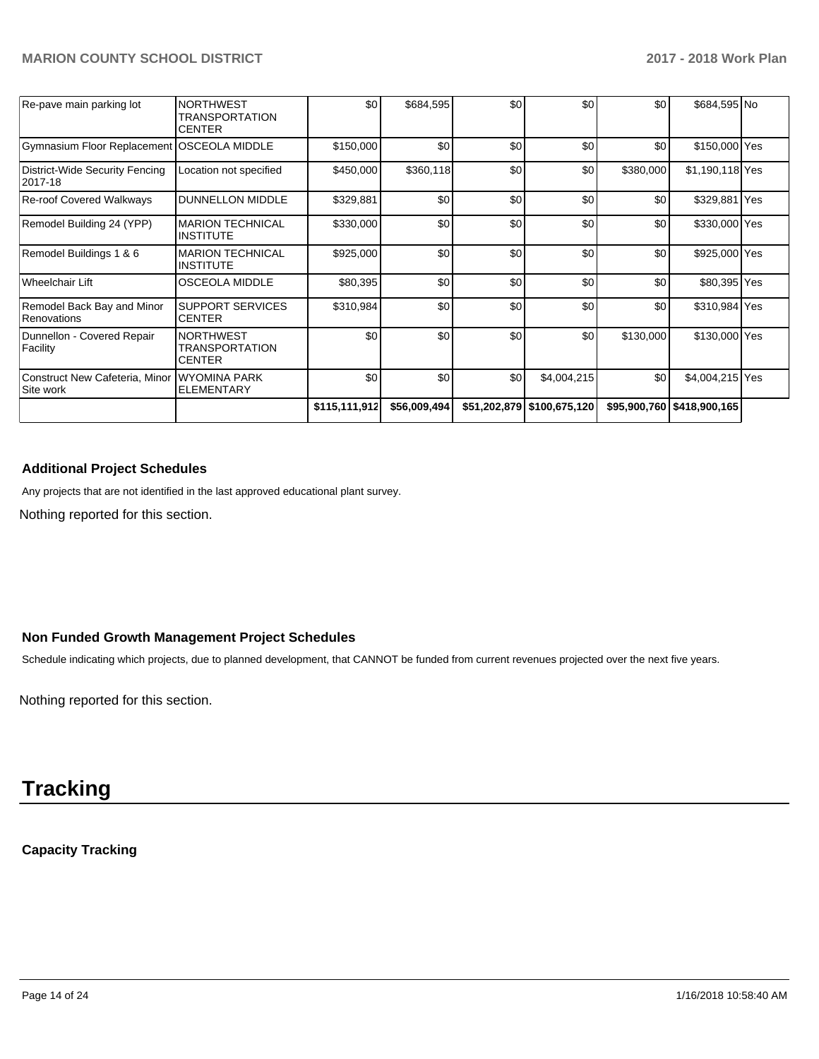| Re-pave main parking lot                          | <b>NORTHWEST</b><br><b>TRANSPORTATION</b><br><b>CENTER</b> | \$0           | \$684,595    | \$0 | \$0                        | \$0              | \$684,595 No                 |  |
|---------------------------------------------------|------------------------------------------------------------|---------------|--------------|-----|----------------------------|------------------|------------------------------|--|
| <b>Gymnasium Floor Replacement OSCEOLA MIDDLE</b> |                                                            | \$150,000     | \$0          | \$0 | \$0                        | \$0              | \$150,000 Yes                |  |
| District-Wide Security Fencing<br>2017-18         | Location not specified                                     | \$450,000     | \$360,118    | \$0 | \$0                        | \$380,000        | \$1,190,118 Yes              |  |
| Re-roof Covered Walkways                          | <b>DUNNELLON MIDDLE</b>                                    | \$329,881     | \$0          | \$0 | \$0                        | \$0              | \$329,881 Yes                |  |
| Remodel Building 24 (YPP)                         | <b>MARION TECHNICAL</b><br>IINSTITUTE                      | \$330,000     | \$0          | \$0 | \$0                        | \$0              | \$330,000 Yes                |  |
| Remodel Buildings 1 & 6                           | <b>MARION TECHNICAL</b><br><b>INSTITUTE</b>                | \$925,000     | \$0          | \$0 | \$0                        | \$0              | \$925,000 Yes                |  |
| Wheelchair Lift                                   | <b>OSCEOLA MIDDLE</b>                                      | \$80,395      | \$0          | \$0 | \$0                        | \$0              | \$80,395 Yes                 |  |
| Remodel Back Bay and Minor<br>Renovations         | <b>SUPPORT SERVICES</b><br><b>CENTER</b>                   | \$310,984     | \$0          | \$0 | \$0                        | \$0              | \$310,984 Yes                |  |
| Dunnellon - Covered Repair<br>Facility            | <b>NORTHWEST</b><br><b>TRANSPORTATION</b><br><b>CENTER</b> | \$0           | \$0          | \$0 | \$0                        | \$130,000        | \$130,000 Yes                |  |
| Construct New Cafeteria, Minor<br>Site work       | IWYOMINA PARK<br><b>ELEMENTARY</b>                         | \$0           | \$0          | \$0 | \$4,004,215                | \$0 <sub>1</sub> | \$4,004,215 Yes              |  |
|                                                   |                                                            | \$115,111,912 | \$56,009,494 |     | \$51,202,879 \$100,675,120 |                  | \$95,900,760   \$418,900,165 |  |

## **Additional Project Schedules**

Any projects that are not identified in the last approved educational plant survey.

Nothing reported for this section.

### **Non Funded Growth Management Project Schedules**

Schedule indicating which projects, due to planned development, that CANNOT be funded from current revenues projected over the next five years.

Nothing reported for this section.

# **Tracking**

# **Capacity Tracking**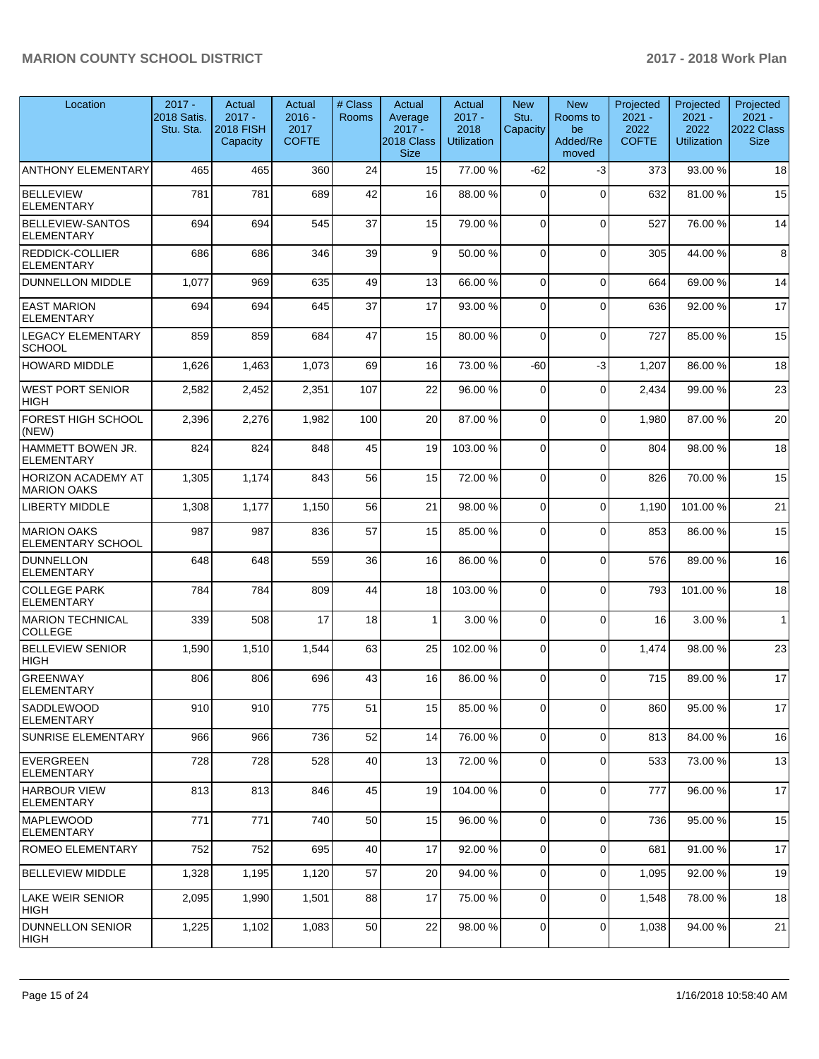| Location                                        | $2017 -$<br>2018 Satis.<br>Stu. Sta. | Actual<br>$2017 -$<br><b>2018 FISH</b><br>Capacity | Actual<br>$2016 -$<br>2017<br><b>COFTE</b> | # Class<br><b>Rooms</b> | Actual<br>Average<br>$2017 -$<br>2018 Class<br><b>Size</b> | Actual<br>$2017 -$<br>2018<br><b>Utilization</b> | <b>New</b><br>Stu.<br>Capacity | <b>New</b><br>Rooms to<br>be<br>Added/Re<br>moved | Projected<br>$2021 -$<br>2022<br><b>COFTE</b> | Projected<br>$2021 -$<br>2022<br><b>Utilization</b> | Projected<br>$2021 -$<br>2022 Class<br><b>Size</b> |
|-------------------------------------------------|--------------------------------------|----------------------------------------------------|--------------------------------------------|-------------------------|------------------------------------------------------------|--------------------------------------------------|--------------------------------|---------------------------------------------------|-----------------------------------------------|-----------------------------------------------------|----------------------------------------------------|
| <b>ANTHONY ELEMENTARY</b>                       | 465                                  | 465                                                | 360                                        | 24                      | 15                                                         | 77.00 %                                          | -62                            | -3                                                | 373                                           | 93.00 %                                             | 18                                                 |
| <b>BELLEVIEW</b><br>ELEMENTARY                  | 781                                  | 781                                                | 689                                        | 42                      | 16                                                         | 88.00 %                                          | 0                              | $\mathbf 0$                                       | 632                                           | 81.00 %                                             | 15                                                 |
| <b>BELLEVIEW-SANTOS</b><br><b>ELEMENTARY</b>    | 694                                  | 694                                                | 545                                        | 37                      | 15                                                         | 79.00 %                                          | $\Omega$                       | $\mathbf 0$                                       | 527                                           | 76.00 %                                             | 14                                                 |
| <b>REDDICK-COLLIER</b><br><b>ELEMENTARY</b>     | 686                                  | 686                                                | 346                                        | 39                      | 9                                                          | 50.00 %                                          | $\Omega$                       | $\Omega$                                          | 305                                           | 44.00 %                                             | 8                                                  |
| <b>DUNNELLON MIDDLE</b>                         | 1,077                                | 969                                                | 635                                        | 49                      | 13                                                         | 66.00%                                           | $\mathbf 0$                    | $\mathbf 0$                                       | 664                                           | 69.00 %                                             | 14                                                 |
| <b>EAST MARION</b><br><b>ELEMENTARY</b>         | 694                                  | 694                                                | 645                                        | 37                      | 17                                                         | 93.00 %                                          | 0                              | $\mathbf 0$                                       | 636                                           | 92.00 %                                             | 17                                                 |
| <b>LEGACY ELEMENTARY</b><br><b>SCHOOL</b>       | 859                                  | 859                                                | 684                                        | 47                      | 15                                                         | 80.00 %                                          | $\Omega$                       | $\mathbf 0$                                       | 727                                           | 85.00 %                                             | 15                                                 |
| <b>HOWARD MIDDLE</b>                            | 1,626                                | 1,463                                              | 1,073                                      | 69                      | 16                                                         | 73.00 %                                          | -60                            | $-3$                                              | 1,207                                         | 86.00 %                                             | 18                                                 |
| <b>WEST PORT SENIOR</b><br><b>HIGH</b>          | 2,582                                | 2,452                                              | 2,351                                      | 107                     | 22                                                         | 96.00 %                                          | $\Omega$                       | $\Omega$                                          | 2,434                                         | 99.00 %                                             | 23                                                 |
| FOREST HIGH SCHOOL<br>(NEW)                     | 2,396                                | 2,276                                              | 1,982                                      | 100                     | 20                                                         | 87.00 %                                          | $\mathbf 0$                    | $\mathbf 0$                                       | 1,980                                         | 87.00 %                                             | 20                                                 |
| HAMMETT BOWEN JR.<br><b>ELEMENTARY</b>          | 824                                  | 824                                                | 848                                        | 45                      | 19                                                         | 103.00%                                          | $\Omega$                       | $\Omega$                                          | 804                                           | 98.00 %                                             | 18                                                 |
| <b>HORIZON ACADEMY AT</b><br><b>MARION OAKS</b> | 1,305                                | 1,174                                              | 843                                        | 56                      | 15                                                         | 72.00 %                                          | $\Omega$                       | $\Omega$                                          | 826                                           | 70.00 %                                             | 15                                                 |
| <b>LIBERTY MIDDLE</b>                           | 1,308                                | 1,177                                              | 1,150                                      | 56                      | 21                                                         | 98.00 %                                          | $\mathbf 0$                    | $\Omega$                                          | 1,190                                         | 101.00%                                             | 21                                                 |
| <b>MARION OAKS</b><br><b>ELEMENTARY SCHOOL</b>  | 987                                  | 987                                                | 836                                        | 57                      | 15                                                         | 85.00 %                                          | 0                              | $\mathbf 0$                                       | 853                                           | 86.00 %                                             | 15                                                 |
| DUNNELLON<br><b>ELEMENTARY</b>                  | 648                                  | 648                                                | 559                                        | 36                      | 16                                                         | 86.00 %                                          | $\Omega$                       | $\mathbf 0$                                       | 576                                           | 89.00 %                                             | 16                                                 |
| <b>COLLEGE PARK</b><br><b>ELEMENTARY</b>        | 784                                  | 784                                                | 809                                        | 44                      | 18                                                         | 103.00 %                                         | $\Omega$                       | $\Omega$                                          | 793                                           | 101.00%                                             | 18                                                 |
| MARION TECHNICAL<br><b>COLLEGE</b>              | 339                                  | 508                                                | 17                                         | 18                      | $\mathbf{1}$                                               | 3.00 %                                           | $\mathbf 0$                    | $\mathbf 0$                                       | 16                                            | 3.00 %                                              | $\mathbf{1}$                                       |
| <b>BELLEVIEW SENIOR</b><br><b>HIGH</b>          | 1,590                                | 1,510                                              | 1,544                                      | 63                      | 25                                                         | 102.00%                                          | $\Omega$                       | $\mathbf 0$                                       | 1,474                                         | 98.00 %                                             | 23                                                 |
| <b>GREENWAY</b><br>ELEMENTARY                   | 806                                  | 806                                                | 696                                        | 43                      | 16                                                         | 86.00 %                                          | $\Omega$                       | $\Omega$                                          | 715                                           | 89.00 %                                             | 17                                                 |
| <b>SADDLEWOOD</b><br><b>ELEMENTARY</b>          | 910                                  | 910                                                | 775                                        | 51                      | 15                                                         | 85.00 %                                          | $\mathbf 0$                    | $\mathbf 0$                                       | 860                                           | 95.00 %                                             | 17                                                 |
| <b>SUNRISE ELEMENTARY</b>                       | 966                                  | 966                                                | 736                                        | 52                      | 14                                                         | 76.00 %                                          | $\mathbf 0$                    | $\mathbf 0$                                       | 813                                           | 84.00 %                                             | 16                                                 |
| EVERGREEN<br><b>ELEMENTARY</b>                  | 728                                  | 728                                                | 528                                        | 40                      | 13                                                         | 72.00 %                                          | $\mathbf 0$                    | $\mathbf 0$                                       | 533                                           | 73.00 %                                             | 13                                                 |
| <b>HARBOUR VIEW</b><br><b>ELEMENTARY</b>        | 813                                  | 813                                                | 846                                        | 45                      | 19                                                         | 104.00%                                          | 0                              | $\mathbf 0$                                       | 777                                           | 96.00 %                                             | 17                                                 |
| <b>MAPLEWOOD</b><br>ELEMENTARY                  | 771                                  | 771                                                | 740                                        | 50                      | 15                                                         | 96.00 %                                          | $\mathbf 0$                    | $\mathbf 0$                                       | 736                                           | 95.00 %                                             | 15                                                 |
| <b>ROMEO ELEMENTARY</b>                         | 752                                  | 752                                                | 695                                        | 40                      | 17                                                         | 92.00 %                                          | $\mathbf 0$                    | $\mathbf 0$                                       | 681                                           | 91.00 %                                             | 17                                                 |
| BELLEVIEW MIDDLE                                | 1,328                                | 1,195                                              | 1,120                                      | 57                      | 20                                                         | 94.00 %                                          | $\mathbf 0$                    | $\Omega$                                          | 1,095                                         | 92.00 %                                             | 19                                                 |
| <b>LAKE WEIR SENIOR</b><br> HIGH                | 2,095                                | 1,990                                              | 1,501                                      | 88                      | 17                                                         | 75.00 %                                          | 0                              | $\mathbf 0$                                       | 1,548                                         | 78.00 %                                             | 18                                                 |
| <b>DUNNELLON SENIOR</b><br> HIGH                | 1,225                                | 1,102                                              | 1,083                                      | 50                      | 22                                                         | 98.00%                                           | 0                              | 0                                                 | 1,038                                         | 94.00%                                              | 21                                                 |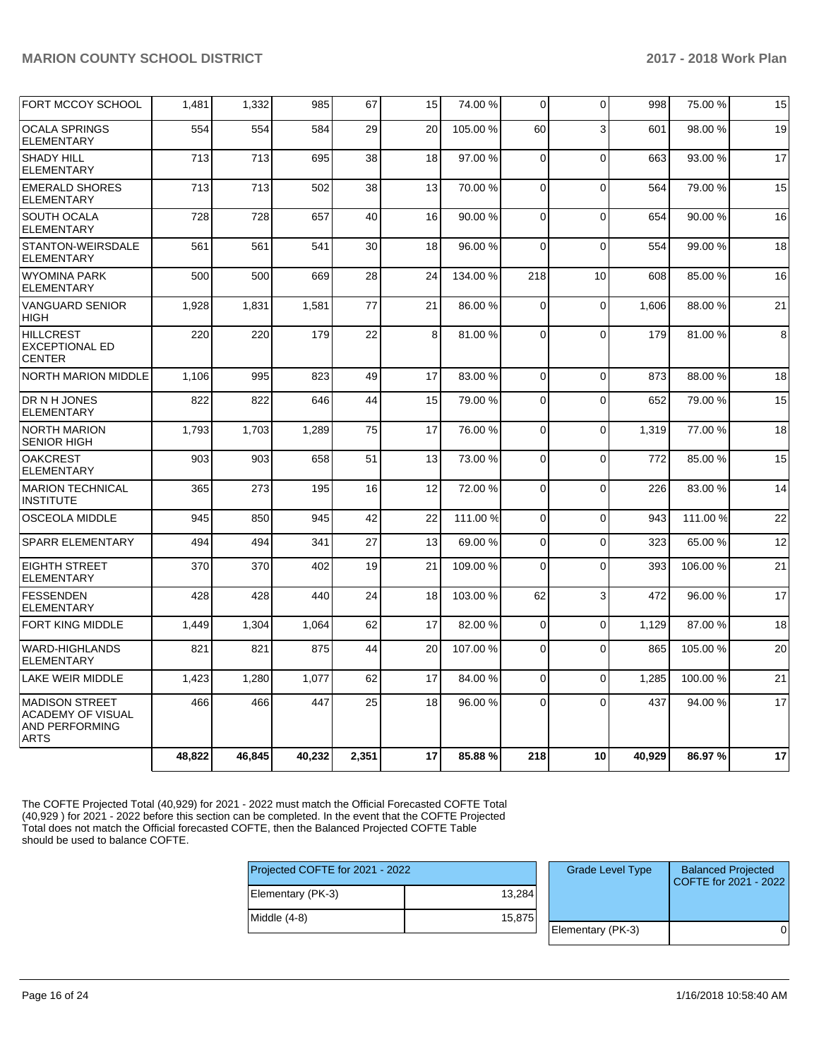| FORT MCCOY SCHOOL                                                           | 1,481  | 1,332  | 985    | 67    | 15 | 74.00 %  | 0              | $\Omega$    | 998    | 75.00 %  | 15 |
|-----------------------------------------------------------------------------|--------|--------|--------|-------|----|----------|----------------|-------------|--------|----------|----|
| <b>OCALA SPRINGS</b><br><b>ELEMENTARY</b>                                   | 554    | 554    | 584    | 29    | 20 | 105.00 % | 60             | 3           | 601    | 98.00 %  | 19 |
| <b>SHADY HILL</b><br><b>ELEMENTARY</b>                                      | 713    | 713    | 695    | 38    | 18 | 97.00 %  | 0              | $\Omega$    | 663    | 93.00 %  | 17 |
| <b>EMERALD SHORES</b><br><b>ELEMENTARY</b>                                  | 713    | 713    | 502    | 38    | 13 | 70.00 %  | $\Omega$       | $\Omega$    | 564    | 79.00 %  | 15 |
| <b>SOUTH OCALA</b><br><b>ELEMENTARY</b>                                     | 728    | 728    | 657    | 40    | 16 | 90.00 %  | $\Omega$       | $\Omega$    | 654    | 90.00 %  | 16 |
| <b>STANTON-WEIRSDALE</b><br><b>ELEMENTARY</b>                               | 561    | 561    | 541    | 30    | 18 | 96.00 %  | $\Omega$       | $\Omega$    | 554    | 99.00 %  | 18 |
| <b>WYOMINA PARK</b><br><b>ELEMENTARY</b>                                    | 500    | 500    | 669    | 28    | 24 | 134.00 % | 218            | 10          | 608    | 85.00 %  | 16 |
| <b>VANGUARD SENIOR</b><br><b>HIGH</b>                                       | 1,928  | 1,831  | 1,581  | 77    | 21 | 86.00 %  | $\mathbf 0$    | $\Omega$    | 1.606  | 88.00 %  | 21 |
| <b>HILLCREST</b><br><b>EXCEPTIONAL ED</b><br><b>CENTER</b>                  | 220    | 220    | 179    | 22    | 8  | 81.00%   | $\overline{0}$ | $\Omega$    | 179    | 81.00%   | 8  |
| NORTH MARION MIDDLE                                                         | 1.106  | 995    | 823    | 49    | 17 | 83.00 %  | $\mathbf 0$    | $\Omega$    | 873    | 88.00 %  | 18 |
| DR N H JONES<br><b>ELEMENTARY</b>                                           | 822    | 822    | 646    | 44    | 15 | 79.00 %  | $\mathbf 0$    | $\Omega$    | 652    | 79.00 %  | 15 |
| <b>NORTH MARION</b><br><b>SENIOR HIGH</b>                                   | 1,793  | 1,703  | 1,289  | 75    | 17 | 76.00 %  | 0              | $\Omega$    | 1,319  | 77.00 %  | 18 |
| <b>OAKCREST</b><br><b>ELEMENTARY</b>                                        | 903    | 903    | 658    | 51    | 13 | 73.00 %  | $\Omega$       | $\Omega$    | 772    | 85.00 %  | 15 |
| <b>MARION TECHNICAL</b><br><b>INSTITUTE</b>                                 | 365    | 273    | 195    | 16    | 12 | 72.00 %  | $\mathbf 0$    | $\Omega$    | 226    | 83.00 %  | 14 |
| <b>OSCEOLA MIDDLE</b>                                                       | 945    | 850    | 945    | 42    | 22 | 111.00 % | 0              | $\Omega$    | 943    | 111.00 % | 22 |
| <b>SPARR ELEMENTARY</b>                                                     | 494    | 494    | 341    | 27    | 13 | 69.00 %  | 0              | $\mathbf 0$ | 323    | 65.00 %  | 12 |
| <b>EIGHTH STREET</b><br><b>ELEMENTARY</b>                                   | 370    | 370    | 402    | 19    | 21 | 109.00%  | $\Omega$       | $\Omega$    | 393    | 106.00%  | 21 |
| <b>FESSENDEN</b><br><b>ELEMENTARY</b>                                       | 428    | 428    | 440    | 24    | 18 | 103.00%  | 62             | 3           | 472    | 96.00 %  | 17 |
| <b>FORT KING MIDDLE</b>                                                     | 1,449  | 1,304  | 1,064  | 62    | 17 | 82.00%   | $\mathbf 0$    | $\Omega$    | 1,129  | 87.00 %  | 18 |
| <b>WARD-HIGHLANDS</b><br><b>ELEMENTARY</b>                                  | 821    | 821    | 875    | 44    | 20 | 107.00%  | $\mathbf 0$    | $\Omega$    | 865    | 105.00 % | 20 |
| <b>LAKE WEIR MIDDLE</b>                                                     | 1,423  | 1,280  | 1.077  | 62    | 17 | 84.00 %  | $\Omega$       | $\Omega$    | 1,285  | 100.00%  | 21 |
| <b>MADISON STREET</b><br>ACADEMY OF VISUAL<br>AND PERFORMING<br><b>ARTS</b> | 466    | 466    | 447    | 25    | 18 | 96.00 %  | 0              | $\Omega$    | 437    | 94.00 %  | 17 |
|                                                                             | 48,822 | 46,845 | 40,232 | 2,351 | 17 | 85.88%   | 218            | 10          | 40,929 | 86.97%   | 17 |

The COFTE Projected Total (40,929) for 2021 - 2022 must match the Official Forecasted COFTE Total (40,929 ) for 2021 - 2022 before this section can be completed. In the event that the COFTE Projected Total does not match the Official forecasted COFTE, then the Balanced Projected COFTE Table should be used to balance COFTE.

| Projected COFTE for 2021 - 2022 |        | <b>Grade Level Type</b> | <b>Balanced Projected</b><br>COFTE for 2021 - 2022 |  |
|---------------------------------|--------|-------------------------|----------------------------------------------------|--|
| Elementary (PK-3)               | 13,284 |                         |                                                    |  |
| Middle (4-8)                    | 15,875 |                         |                                                    |  |
|                                 |        | Elementary (PK-3)       |                                                    |  |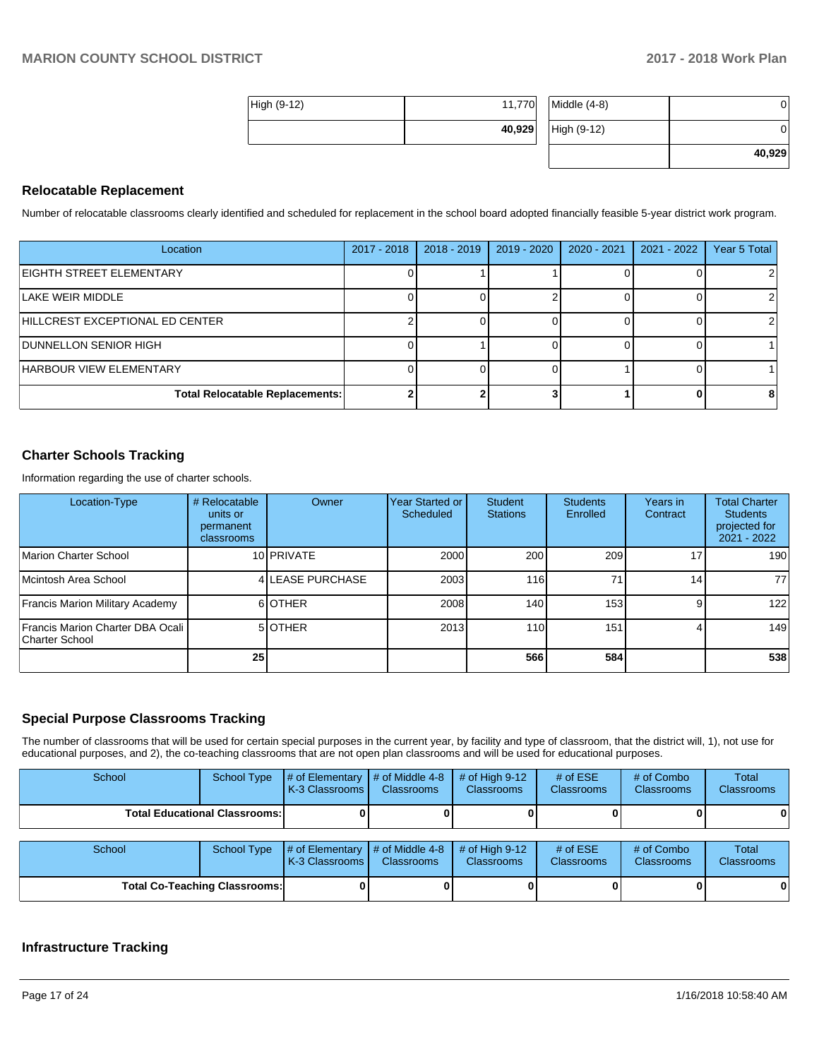**40,929**

| High (9-12) | 11,770 | $Middle (4-8)$ |  |  |
|-------------|--------|----------------|--|--|
|             | 40,929 | High (9-12)    |  |  |

### **Relocatable Replacement**

Number of relocatable classrooms clearly identified and scheduled for replacement in the school board adopted financially feasible 5-year district work program.

| Location                               | 2017 - 2018 | $2018 - 2019$ | 2019 - 2020 | $2020 - 2021$ | $2021 - 2022$ | Year 5 Total |
|----------------------------------------|-------------|---------------|-------------|---------------|---------------|--------------|
| <b>EIGHTH STREET ELEMENTARY</b>        |             |               |             |               |               |              |
| LAKE WEIR MIDDLE                       |             |               |             |               |               |              |
| HILLCREST EXCEPTIONAL ED CENTER        |             |               |             |               |               |              |
| <b>DUNNELLON SENIOR HIGH</b>           |             |               |             |               |               |              |
| <b>HARBOUR VIEW ELEMENTARY</b>         |             |               |             |               |               |              |
| <b>Total Relocatable Replacements:</b> |             |               |             |               |               |              |

## **Charter Schools Tracking**

Information regarding the use of charter schools.

| Location-Type                                      | # Relocatable<br>units or<br>permanent<br>classrooms | <b>Owner</b>     | Year Started or<br>Scheduled | Student<br><b>Stations</b> | <b>Students</b><br>Enrolled | Years in<br>Contract | <b>Total Charter</b><br><b>Students</b><br>projected for<br>$2021 - 2022$ |
|----------------------------------------------------|------------------------------------------------------|------------------|------------------------------|----------------------------|-----------------------------|----------------------|---------------------------------------------------------------------------|
| Marion Charter School                              |                                                      | 10 PRIVATE       | 2000                         | 200                        | 209                         | 17                   | 190                                                                       |
| Mcintosh Area School                               |                                                      | 4 LEASE PURCHASE | 2003                         | 116                        | 71.                         | 14 <sub>1</sub>      | 77 I                                                                      |
| Francis Marion Military Academy                    |                                                      | 6OTHER           | 2008                         | 140                        | 153 <sup>1</sup>            | 9                    | 122                                                                       |
| Francis Marion Charter DBA Ocali<br>Charter School |                                                      | 5 OTHER          | 2013                         | 110                        | 151 <sub>1</sub>            |                      | 149                                                                       |
|                                                    | 25                                                   |                  |                              | 566                        | 584                         |                      | 538                                                                       |

### **Special Purpose Classrooms Tracking**

The number of classrooms that will be used for certain special purposes in the current year, by facility and type of classroom, that the district will, 1), not use for educational purposes, and 2), the co-teaching classrooms that are not open plan classrooms and will be used for educational purposes.

| School                               | School Type | $\#$ of Elementary $\#$ of Middle 4-8<br><b>K-3 Classrooms</b>                                      | Classrooms | $\#$ of High 9-12<br><b>Classrooms</b> | # of $ESE$<br><b>Classrooms</b> | # of Combo<br><b>Classrooms</b> | Total<br><b>Classrooms</b> |
|--------------------------------------|-------------|-----------------------------------------------------------------------------------------------------|------------|----------------------------------------|---------------------------------|---------------------------------|----------------------------|
| <b>Total Educational Classrooms:</b> |             |                                                                                                     |            |                                        |                                 |                                 | 0                          |
| School                               | School Type | # of Elementary $\mid \#$ of Middle 4-8 $\mid \#$ of High 9-12<br><b>IK-3 Classrooms Classrooms</b> |            | <b>Classrooms</b>                      | # of $ESE$<br>Classrooms        | # of Combo<br><b>Classrooms</b> | Total<br>Classrooms        |

**Total Co-Teaching Classrooms: 0 0 0 0 0 0**

# **Infrastructure Tracking**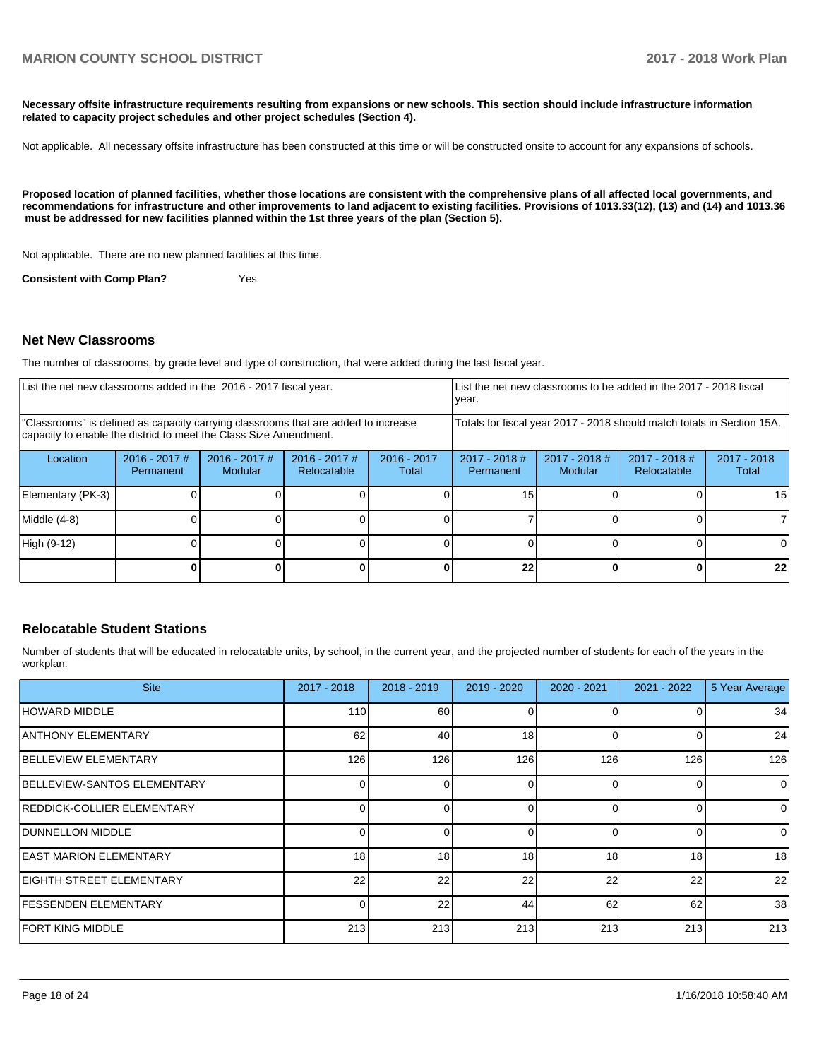**Necessary offsite infrastructure requirements resulting from expansions or new schools. This section should include infrastructure information related to capacity project schedules and other project schedules (Section 4).** 

Not applicable. All necessary offsite infrastructure has been constructed at this time or will be constructed onsite to account for any expansions of schools.

**Proposed location of planned facilities, whether those locations are consistent with the comprehensive plans of all affected local governments, and recommendations for infrastructure and other improvements to land adjacent to existing facilities. Provisions of 1013.33(12), (13) and (14) and 1013.36 must be addressed for new facilities planned within the 1st three years of the plan (Section 5).** 

Not applicable. There are no new planned facilities at this time.

**Consistent with Comp Plan?** Yes

#### **Net New Classrooms**

The number of classrooms, by grade level and type of construction, that were added during the last fiscal year.

| List the net new classrooms added in the 2016 - 2017 fiscal year.                                                                                       |                              |                                   |                                | List the net new classrooms to be added in the 2017 - 2018 fiscal<br>year. |                              |                          |                                |                      |
|---------------------------------------------------------------------------------------------------------------------------------------------------------|------------------------------|-----------------------------------|--------------------------------|----------------------------------------------------------------------------|------------------------------|--------------------------|--------------------------------|----------------------|
| "Classrooms" is defined as capacity carrying classrooms that are added to increase<br>capacity to enable the district to meet the Class Size Amendment. |                              |                                   |                                | Totals for fiscal year 2017 - 2018 should match totals in Section 15A.     |                              |                          |                                |                      |
| Location                                                                                                                                                | $2016 - 2017$ #<br>Permanent | $2016 - 2017$ #<br><b>Modular</b> | $2016 - 2017$ #<br>Relocatable | $2016 - 2017$<br>Total                                                     | $2017 - 2018$ #<br>Permanent | 2017 - 2018 #<br>Modular | $2017 - 2018$ #<br>Relocatable | 2017 - 2018<br>Total |
| Elementary (PK-3)                                                                                                                                       |                              |                                   |                                |                                                                            | 15                           |                          |                                | 15                   |
| Middle (4-8)                                                                                                                                            |                              |                                   |                                |                                                                            |                              |                          |                                |                      |
| High (9-12)                                                                                                                                             |                              |                                   |                                |                                                                            |                              |                          |                                | ΩI                   |
|                                                                                                                                                         |                              |                                   |                                |                                                                            | 22                           |                          |                                | 22                   |

### **Relocatable Student Stations**

Number of students that will be educated in relocatable units, by school, in the current year, and the projected number of students for each of the years in the workplan.

| <b>Site</b>                   | $2017 - 2018$ | $2018 - 2019$ | 2019 - 2020 | 2020 - 2021 | $2021 - 2022$ | 5 Year Average |
|-------------------------------|---------------|---------------|-------------|-------------|---------------|----------------|
| HOWARD MIDDLE                 | 110           | 60            | 0           |             |               | 34             |
| ANTHONY ELEMENTARY            | 62            | 40            | 18          | $\Omega$    |               | 24             |
| <b>BELLEVIEW ELEMENTARY</b>   | 126           | 126           | 126         | 126         | 126           | 126            |
| BELLEVIEW-SANTOS ELEMENTARY   |               |               | 0           | $\Omega$    |               | $\Omega$       |
| REDDICK-COLLIER ELEMENTARY    |               |               | U           | $\Omega$    |               | $\Omega$       |
| <b>DUNNELLON MIDDLE</b>       |               |               | 0           | $\Omega$    |               | $\Omega$       |
| <b>EAST MARION ELEMENTARY</b> | 18            | 18            | 18          | 18          | 18            | 18             |
| EIGHTH STREET ELEMENTARY      | 22            | 22            | 22          | 22          | 22            | 22             |
| <b>FESSENDEN ELEMENTARY</b>   |               | 22            | 44          | 62          | 62            | 38             |
| FORT KING MIDDLE              | 213           | 213           | 213         | 213         | 213           | 213            |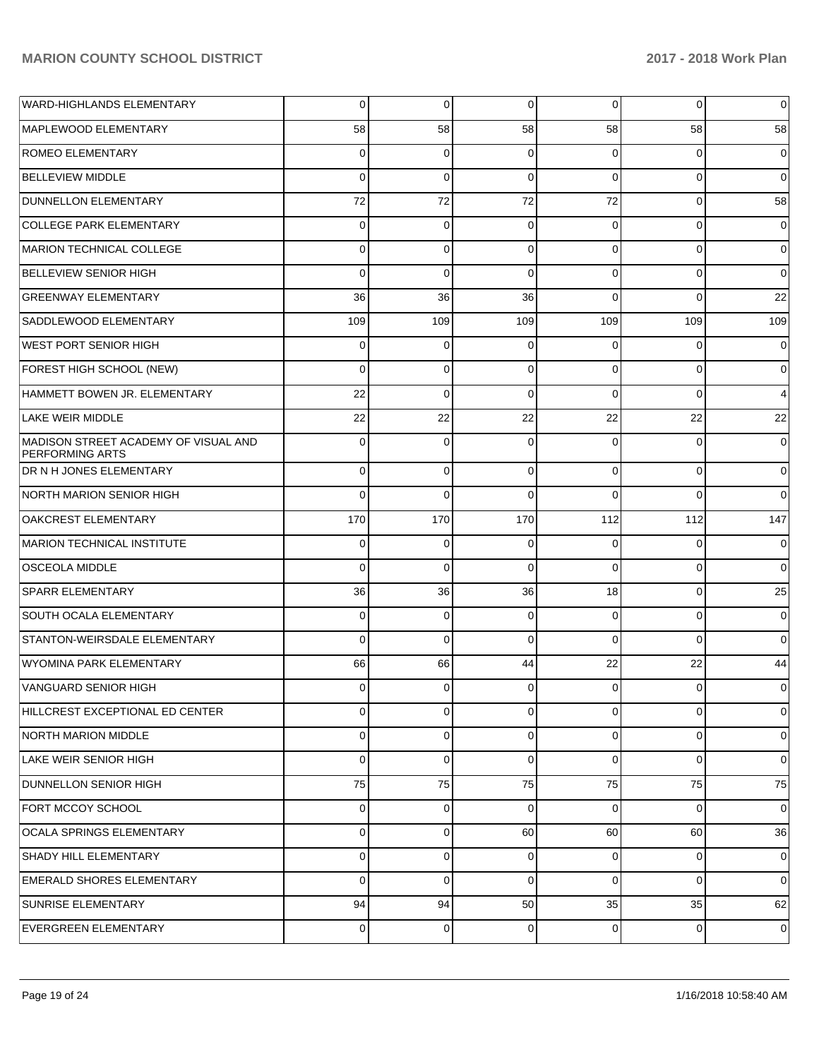| WARD-HIGHLANDS ELEMENTARY                                      | $\overline{0}$ | 0           | 0        | $\overline{0}$ | 0           | $\overline{0}$ |
|----------------------------------------------------------------|----------------|-------------|----------|----------------|-------------|----------------|
| MAPLEWOOD ELEMENTARY                                           | 58             | 58          | 58       | 58             | 58          | 58             |
| <b>ROMEO ELEMENTARY</b>                                        | $\overline{0}$ | 0           | $\Omega$ | $\Omega$       | 0           | 0              |
| <b>BELLEVIEW MIDDLE</b>                                        | $\Omega$       | $\Omega$    | $\Omega$ | $\Omega$       | $\Omega$    | $\mathbf 0$    |
| DUNNELLON ELEMENTARY                                           | 72             | 72          | 72       | 72             | $\Omega$    | 58             |
| COLLEGE PARK ELEMENTARY                                        | $\overline{0}$ | 0           | 0        | $\Omega$       | $\Omega$    | $\overline{0}$ |
| MARION TECHNICAL COLLEGE                                       | $\overline{0}$ | $\Omega$    | $\Omega$ | $\Omega$       | $\Omega$    | $\mathbf 0$    |
| <b>BELLEVIEW SENIOR HIGH</b>                                   | $\Omega$       | $\Omega$    | $\Omega$ | $\Omega$       | $\Omega$    | $\mathbf 0$    |
| <b>GREENWAY ELEMENTARY</b>                                     | 36             | 36          | 36       | $\Omega$       | $\Omega$    | 22             |
| SADDLEWOOD ELEMENTARY                                          | 109            | 109         | 109      | 109            | 109         | 109            |
| <b>WEST PORT SENIOR HIGH</b>                                   | $\overline{0}$ | $\mathbf 0$ | $\Omega$ | $\Omega$       | 0           | $\mathbf 0$    |
| FOREST HIGH SCHOOL (NEW)                                       | $\mathbf 0$    | 0           | $\Omega$ | $\Omega$       | $\Omega$    | $\overline{0}$ |
| HAMMETT BOWEN JR. ELEMENTARY                                   | 22             | $\Omega$    | $\Omega$ | $\Omega$       | $\Omega$    | 4              |
| <b>LAKE WEIR MIDDLE</b>                                        | 22             | 22          | 22       | 22             | 22          | 22             |
| MADISON STREET ACADEMY OF VISUAL AND<br><b>PERFORMING ARTS</b> | $\Omega$       | $\Omega$    | $\Omega$ | $\Omega$       | $\Omega$    | $\mathbf 0$    |
| <b>DR N H JONES ELEMENTARY</b>                                 | $\overline{0}$ | $\mathbf 0$ | 0        | $\Omega$       | $\mathbf 0$ | $\overline{0}$ |
| NORTH MARION SENIOR HIGH                                       | $\Omega$       | $\Omega$    | $\Omega$ | $\Omega$       | $\Omega$    | $\overline{0}$ |
| <b>OAKCREST ELEMENTARY</b>                                     | 170            | 170         | 170      | 112            | 112         | 147            |
| MARION TECHNICAL INSTITUTE                                     | 0              | 0           | $\Omega$ | $\Omega$       | 0           | $\overline{0}$ |
| <b>OSCEOLA MIDDLE</b>                                          | $\mathbf 0$    | $\Omega$    | $\Omega$ | $\Omega$       | $\Omega$    | $\overline{0}$ |
| <b>SPARR ELEMENTARY</b>                                        | 36             | 36          | 36       | 18             | 0           | 25             |
| SOUTH OCALA ELEMENTARY                                         | 0              | 0           | 0        | $\Omega$       | 0           | $\overline{0}$ |
| STANTON-WEIRSDALE ELEMENTARY                                   | $\mathbf 0$    | $\mathbf 0$ | $\Omega$ | $\Omega$       | $\Omega$    | $\overline{0}$ |
| WYOMINA PARK ELEMENTARY                                        | 66             | 66          | 44       | 22             | 22          | 44             |
| VANGUARD SENIOR HIGH                                           | 0              | 0           | 0        | $\Omega$       | 0           | $\overline{0}$ |
| HILLCREST EXCEPTIONAL ED CENTER                                | $\overline{0}$ | $\mathbf 0$ | 0        | $\overline{0}$ | 0           | $\overline{0}$ |
| NORTH MARION MIDDLE                                            | $\overline{0}$ | $\mathbf 0$ | 0        | $\overline{0}$ | 0           | 0              |
| <b>LAKE WEIR SENIOR HIGH</b>                                   | 0              | $\mathbf 0$ | 0        | $\Omega$       | $\Omega$    | $\overline{0}$ |
| <b>DUNNELLON SENIOR HIGH</b>                                   | 75             | 75          | 75       | 75             | 75          | 75             |
| FORT MCCOY SCHOOL                                              | $\overline{0}$ | 0           | $\Omega$ | $\Omega$       | $\Omega$    | $\overline{0}$ |
| <b>OCALA SPRINGS ELEMENTARY</b>                                | $\overline{0}$ | $\mathbf 0$ | 60       | 60             | 60          | 36             |
| <b>SHADY HILL ELEMENTARY</b>                                   | 0              | $\mathbf 0$ | 0        | 0              | 0           | 0              |
| <b>EMERALD SHORES ELEMENTARY</b>                               | $\overline{0}$ | $\mathbf 0$ | 0        | $\overline{0}$ | 0           | 0              |
| <b>SUNRISE ELEMENTARY</b>                                      | 94             | 94          | 50       | 35             | 35          | 62             |
| EVERGREEN ELEMENTARY                                           | $\overline{0}$ | 0           | 0        | $\overline{0}$ | 0           | 0              |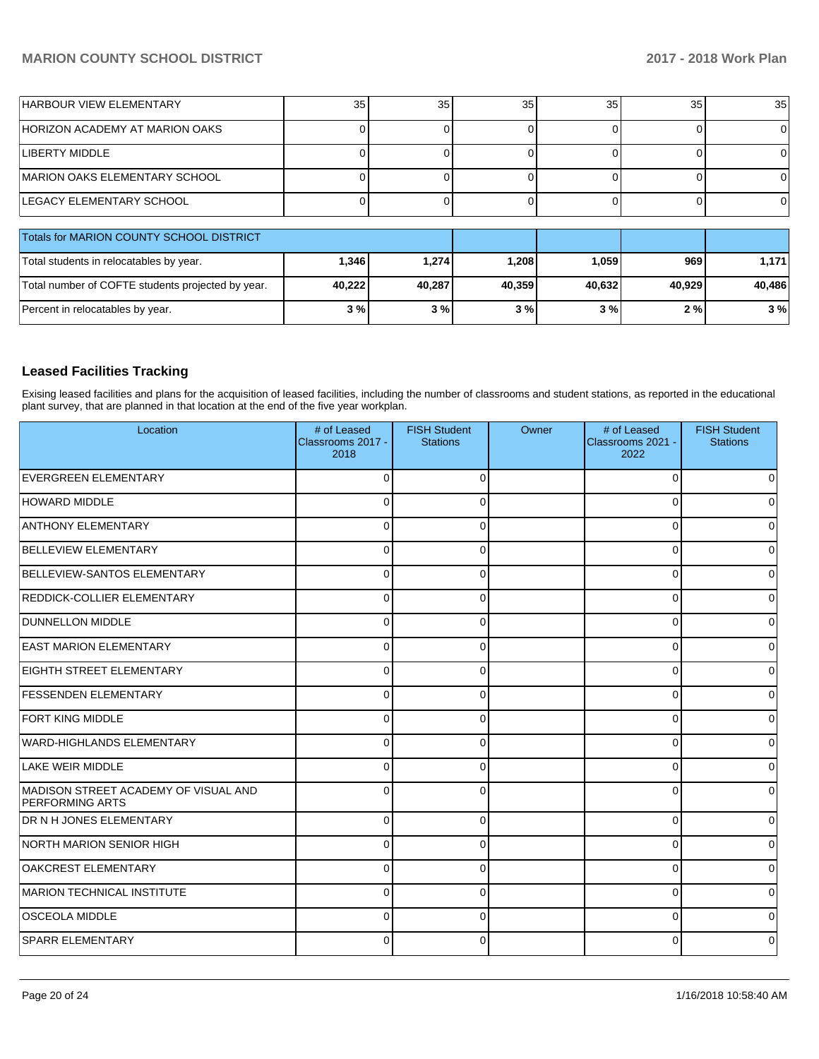| <b>HARBOUR VIEW ELEMENTARY</b>                    | 35     | 35     | 35 <sub>1</sub> | 35     | 35     | 35 <sub>1</sub> |
|---------------------------------------------------|--------|--------|-----------------|--------|--------|-----------------|
| HORIZON ACADEMY AT MARION OAKS                    |        |        |                 |        |        | 0               |
| <b>LIBERTY MIDDLE</b>                             |        |        |                 |        |        | 0               |
| <b>IMARION OAKS ELEMENTARY SCHOOL</b>             |        |        |                 |        |        | 0               |
| LEGACY ELEMENTARY SCHOOL                          |        |        |                 |        |        | 0               |
| Totals for MARION COUNTY SCHOOL DISTRICT          |        |        |                 |        |        |                 |
| Total students in relocatables by year.           | 1,346  | 1,274  | 1,208           | 1,059  | 969    | 1,171           |
| Total number of COFTE students projected by year. | 40,222 | 40,287 | 40,359          | 40,632 | 40,929 | 40,486          |
| Percent in relocatables by year.                  | 3%     | 3%     | 3%              | 3%     | 2%     | 3%              |

## **Leased Facilities Tracking**

Exising leased facilities and plans for the acquisition of leased facilities, including the number of classrooms and student stations, as reported in the educational plant survey, that are planned in that location at the end of the five year workplan.

| Location                                                       | # of Leased<br>Classrooms 2017 -<br>2018 | <b>FISH Student</b><br><b>Stations</b> | Owner | # of Leased<br>Classrooms 2021 -<br>2022 | <b>FISH Student</b><br><b>Stations</b> |
|----------------------------------------------------------------|------------------------------------------|----------------------------------------|-------|------------------------------------------|----------------------------------------|
| <b>EVERGREEN ELEMENTARY</b>                                    | $\Omega$                                 |                                        |       | ∩                                        | $\Omega$                               |
| <b>HOWARD MIDDLE</b>                                           | $\Omega$                                 |                                        |       | 0                                        | $\overline{0}$                         |
| <b>ANTHONY ELEMENTARY</b>                                      | $\Omega$                                 |                                        |       | O                                        | $\Omega$                               |
| <b>BELLEVIEW ELEMENTARY</b>                                    | $\Omega$                                 |                                        |       | U                                        | 0                                      |
| BELLEVIEW-SANTOS ELEMENTARY                                    | $\Omega$                                 |                                        |       | $\Omega$                                 | $\overline{0}$                         |
| REDDICK-COLLIER ELEMENTARY                                     | $\mathbf 0$                              | ſ                                      |       | $\Omega$                                 | $\overline{0}$                         |
| <b>DUNNELLON MIDDLE</b>                                        | $\Omega$                                 |                                        |       | $\Omega$                                 | 0                                      |
| <b>EAST MARION ELEMENTARY</b>                                  | $\Omega$                                 |                                        |       | O                                        | 0                                      |
| EIGHTH STREET ELEMENTARY                                       | $\mathbf 0$                              | ∩                                      |       | $\Omega$                                 | $\overline{0}$                         |
| <b>FESSENDEN ELEMENTARY</b>                                    | $\Omega$                                 |                                        |       | 0                                        | $\overline{0}$                         |
| <b>FORT KING MIDDLE</b>                                        | $\Omega$                                 |                                        |       | U                                        | $\overline{0}$                         |
| WARD-HIGHLANDS ELEMENTARY                                      | $\Omega$                                 | $\Omega$                               |       | $\Omega$                                 | $\Omega$                               |
| LAKE WEIR MIDDLE                                               | $\Omega$                                 | ∩                                      |       | $\Omega$                                 | $\overline{0}$                         |
| MADISON STREET ACADEMY OF VISUAL AND<br><b>PERFORMING ARTS</b> | $\Omega$                                 |                                        |       | $\Omega$                                 | $\overline{0}$                         |
| DR N H JONES ELEMENTARY                                        | $\Omega$                                 |                                        |       | $\Omega$                                 | 0                                      |
| NORTH MARION SENIOR HIGH                                       | $\Omega$                                 |                                        |       | $\Omega$                                 | $\Omega$                               |
| <b>OAKCREST ELEMENTARY</b>                                     | $\Omega$                                 |                                        |       | $\Omega$                                 | $\Omega$                               |
| MARION TECHNICAL INSTITUTE                                     | $\Omega$                                 |                                        |       | $\Omega$                                 | 0                                      |
| <b>OSCEOLA MIDDLE</b>                                          | $\Omega$                                 |                                        |       | ∩                                        | $\Omega$                               |
| <b>SPARR ELEMENTARY</b>                                        | 0                                        |                                        |       |                                          | 0                                      |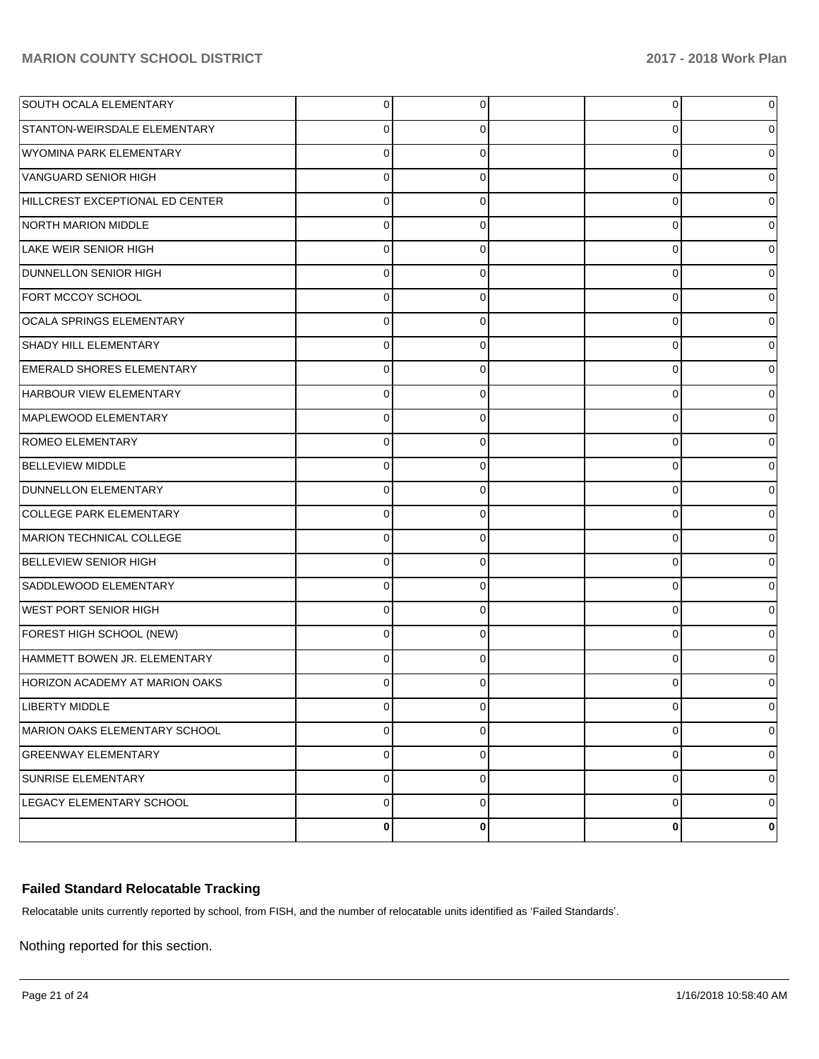| <b>SOUTH OCALA ELEMENTARY</b>         |             | 0        | $\overline{0}$ | 0           |
|---------------------------------------|-------------|----------|----------------|-------------|
| STANTON-WEIRSDALE ELEMENTARY          |             | 0        | 0              | 0           |
| WYOMINA PARK ELEMENTARY               | 0           | 0        | 0              | 0           |
| VANGUARD SENIOR HIGH                  | 0           | 0        | 0              | 0           |
| HILLCREST EXCEPTIONAL ED CENTER       | 0           | 0        | 0              | 0           |
| NORTH MARION MIDDLE                   | 0           | 0        | 0              | 0           |
| LAKE WEIR SENIOR HIGH                 | 0           | 0        | 0              | 0           |
| <b>DUNNELLON SENIOR HIGH</b>          | 0           | 0        | 0              | 0           |
| FORT MCCOY SCHOOL                     | 0           | 0        | 0              | 0           |
| OCALA SPRINGS ELEMENTARY              | 0           | 0        | 0              | 0           |
| SHADY HILL ELEMENTARY                 | 0           | 0        | 0              | 0           |
| <b>EMERALD SHORES ELEMENTARY</b>      | 0           | 0        | 0              | 0           |
| HARBOUR VIEW ELEMENTARY               | $\Omega$    | 0        | $\mathbf 0$    | 0           |
| MAPLEWOOD ELEMENTARY                  | 0           | 0        | 0              | 0           |
| <b>ROMEO ELEMENTARY</b>               | 0           | 0        | 0              | 0           |
| <b>BELLEVIEW MIDDLE</b>               | 0           | 0        | 0              | 0           |
| DUNNELLON ELEMENTARY                  | 0           | 0        | 0              | 0           |
| COLLEGE PARK ELEMENTARY               | $\Omega$    | 0        | 0              | 0           |
| MARION TECHNICAL COLLEGE              | $\Omega$    | 0        | $\mathbf 0$    | 0           |
| <b>BELLEVIEW SENIOR HIGH</b>          | 0           | 0        | 0              | 0           |
| SADDLEWOOD ELEMENTARY                 | 0           | 0        | 0              | 0           |
| <b>WEST PORT SENIOR HIGH</b>          | 0           | 0        | 0              | 0           |
| FOREST HIGH SCHOOL (NEW)              | 0           | 0        | 0              | 0           |
| HAMMETT BOWEN JR. ELEMENTARY          | $\Omega$    | 0        | 0              | 0           |
| <b>HORIZON ACADEMY AT MARION OAKS</b> |             |          | 0              |             |
| <b>LIBERTY MIDDLE</b>                 | 0           | 0        | $\overline{0}$ | $\mathbf 0$ |
| MARION OAKS ELEMENTARY SCHOOL         | 0           | $\Omega$ | 0              | 0           |
| <b>GREENWAY ELEMENTARY</b>            | $\mathbf 0$ | 0        | $\mathbf 0$    | 0           |
| SUNRISE ELEMENTARY                    | 0           | $\Omega$ | $\mathbf 0$    | 0           |
| LEGACY ELEMENTARY SCHOOL              | $\mathbf 0$ | $\Omega$ | $\overline{0}$ | 0           |
|                                       | 0           | 0        | $\bf{0}$       | 0           |

# **Failed Standard Relocatable Tracking**

Relocatable units currently reported by school, from FISH, and the number of relocatable units identified as 'Failed Standards'.

Nothing reported for this section.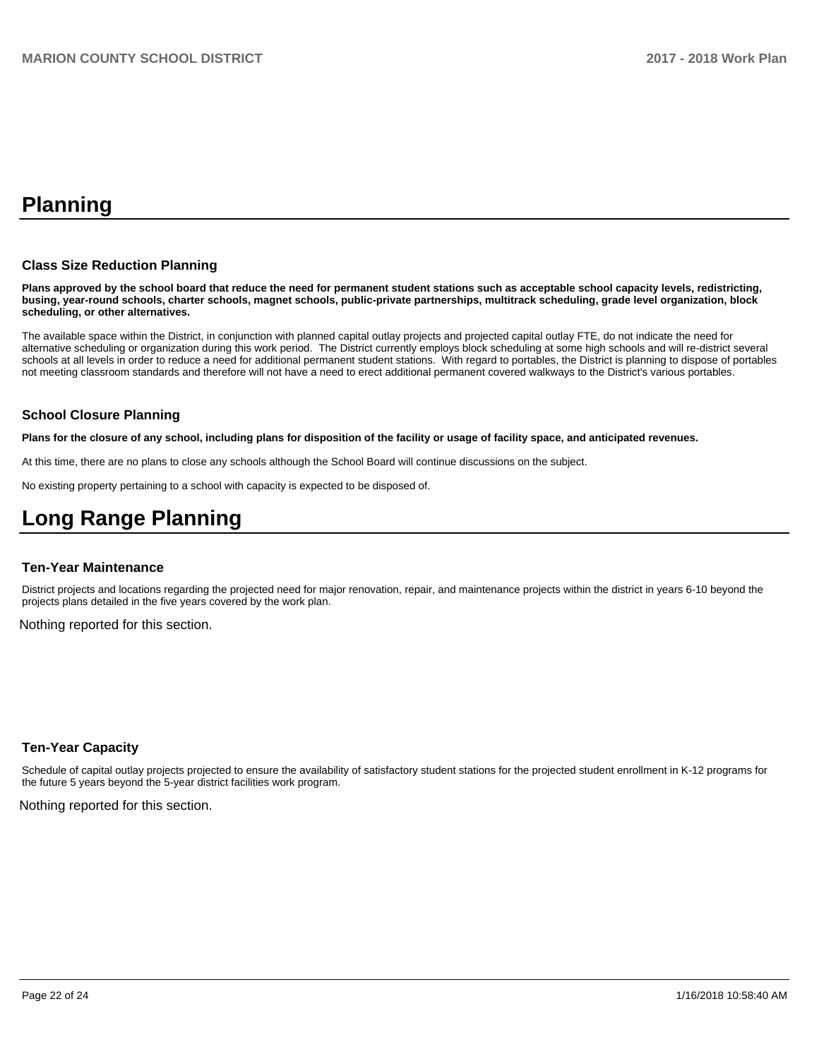# **Planning**

### **Class Size Reduction Planning**

**Plans approved by the school board that reduce the need for permanent student stations such as acceptable school capacity levels, redistricting, busing, year-round schools, charter schools, magnet schools, public-private partnerships, multitrack scheduling, grade level organization, block scheduling, or other alternatives.**

The available space within the District, in conjunction with planned capital outlay projects and projected capital outlay FTE, do not indicate the need for alternative scheduling or organization during this work period. The District currently employs block scheduling at some high schools and will re-district several schools at all levels in order to reduce a need for additional permanent student stations. With regard to portables, the District is planning to dispose of portables not meeting classroom standards and therefore will not have a need to erect additional permanent covered walkways to the District's various portables.

### **School Closure Planning**

**Plans for the closure of any school, including plans for disposition of the facility or usage of facility space, and anticipated revenues.** 

At this time, there are no plans to close any schools although the School Board will continue discussions on the subject.

No existing property pertaining to a school with capacity is expected to be disposed of.

# **Long Range Planning**

#### **Ten-Year Maintenance**

District projects and locations regarding the projected need for major renovation, repair, and maintenance projects within the district in years 6-10 beyond the projects plans detailed in the five years covered by the work plan.

Nothing reported for this section.

### **Ten-Year Capacity**

Schedule of capital outlay projects projected to ensure the availability of satisfactory student stations for the projected student enrollment in K-12 programs for the future 5 years beyond the 5-year district facilities work program.

Nothing reported for this section.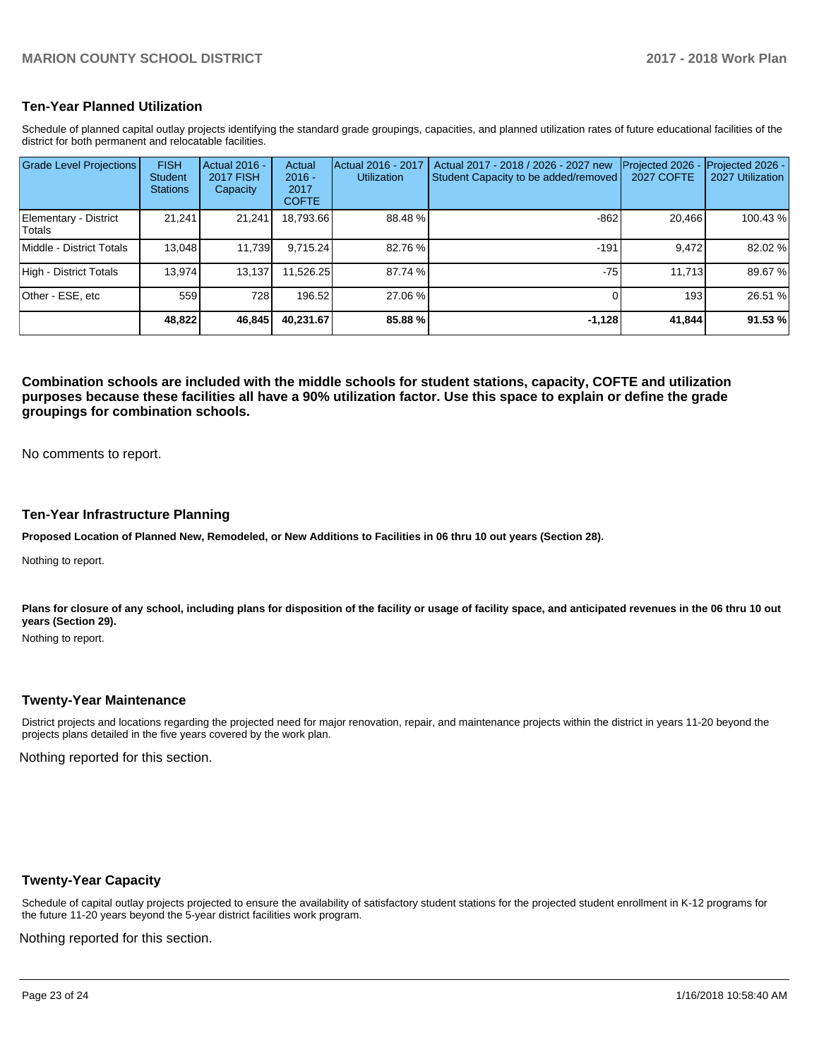### **Ten-Year Planned Utilization**

Schedule of planned capital outlay projects identifying the standard grade groupings, capacities, and planned utilization rates of future educational facilities of the district for both permanent and relocatable facilities.

| <b>Grade Level Projections</b>  | <b>FISH</b><br><b>Student</b><br><b>Stations</b> | <b>Actual 2016 -</b><br><b>2017 FISH</b><br>Capacity | Actual<br>$2016 -$<br>2017<br><b>COFTE</b> | Actual 2016 - 2017<br><b>Utilization</b> | Actual 2017 - 2018 / 2026 - 2027 new<br>Student Capacity to be added/removed | Projected 2026<br><b>2027 COFTE</b> | Projected 2026 -<br>2027 Utilization |
|---------------------------------|--------------------------------------------------|------------------------------------------------------|--------------------------------------------|------------------------------------------|------------------------------------------------------------------------------|-------------------------------------|--------------------------------------|
| Elementary - District<br>Totals | 21.241                                           | 21,241                                               | 18,793.66                                  | 88.48%                                   | $-862$                                                                       | 20.466                              | 100.43 %                             |
| Middle - District Totals        | 13.048                                           | 11,739                                               | 9.715.24                                   | 82.76 %                                  | $-191$                                                                       | 9.472                               | 82.02 %                              |
| High - District Totals          | 13.974                                           | 13,137                                               | 11,526.25                                  | 87.74 %                                  | $-75$                                                                        | 11.713                              | 89.67%                               |
| Other - ESE. etc                | 559                                              | 728                                                  | 196.52                                     | 27.06 %                                  |                                                                              | 193                                 | 26.51 %                              |
|                                 | 48,822                                           | 46,845                                               | 40.231.67                                  | 85.88 %                                  | $-1,128$                                                                     | 41,844                              | 91.53%                               |

**Combination schools are included with the middle schools for student stations, capacity, COFTE and utilization purposes because these facilities all have a 90% utilization factor. Use this space to explain or define the grade groupings for combination schools.** 

No comments to report.

### **Ten-Year Infrastructure Planning**

**Proposed Location of Planned New, Remodeled, or New Additions to Facilities in 06 thru 10 out years (Section 28).**

Nothing to report.

Plans for closure of any school, including plans for disposition of the facility or usage of facility space, and anticipated revenues in the 06 thru 10 out **years (Section 29).**

Nothing to report.

### **Twenty-Year Maintenance**

District projects and locations regarding the projected need for major renovation, repair, and maintenance projects within the district in years 11-20 beyond the projects plans detailed in the five years covered by the work plan.

Nothing reported for this section.

### **Twenty-Year Capacity**

Schedule of capital outlay projects projected to ensure the availability of satisfactory student stations for the projected student enrollment in K-12 programs for the future 11-20 years beyond the 5-year district facilities work program.

Nothing reported for this section.